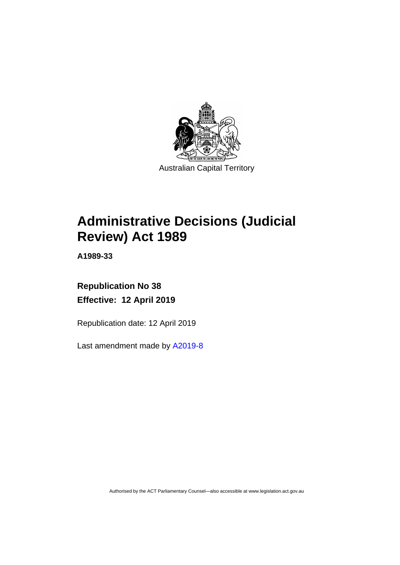

# **Administrative Decisions (Judicial Review) Act 1989**

**A1989-33**

# **Republication No 38 Effective: 12 April 2019**

Republication date: 12 April 2019

Last amendment made by [A2019-8](http://www.legislation.act.gov.au/a/2019-8/default.asp)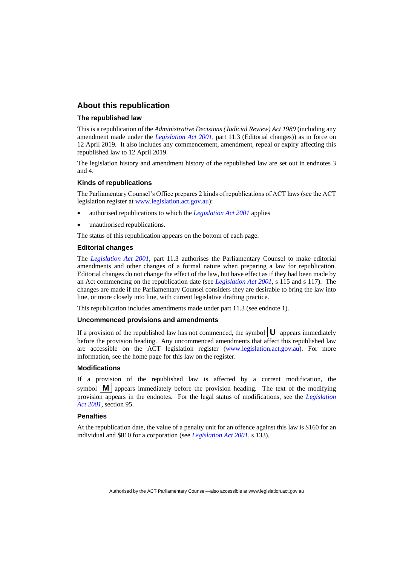# **About this republication**

#### **The republished law**

This is a republication of the *Administrative Decisions (Judicial Review) Act 1989* (including any amendment made under the *[Legislation Act 2001](http://www.legislation.act.gov.au/a/2001-14)*, part 11.3 (Editorial changes)) as in force on 12 April 2019*.* It also includes any commencement, amendment, repeal or expiry affecting this republished law to 12 April 2019.

The legislation history and amendment history of the republished law are set out in endnotes 3 and 4.

#### **Kinds of republications**

The Parliamentary Counsel's Office prepares 2 kinds of republications of ACT laws (see the ACT legislation register at [www.legislation.act.gov.au\)](http://www.legislation.act.gov.au/):

- authorised republications to which the *[Legislation Act 2001](http://www.legislation.act.gov.au/a/2001-14)* applies
- unauthorised republications.

The status of this republication appears on the bottom of each page.

#### **Editorial changes**

The *[Legislation Act 2001](http://www.legislation.act.gov.au/a/2001-14)*, part 11.3 authorises the Parliamentary Counsel to make editorial amendments and other changes of a formal nature when preparing a law for republication. Editorial changes do not change the effect of the law, but have effect as if they had been made by an Act commencing on the republication date (see *[Legislation Act 2001](http://www.legislation.act.gov.au/a/2001-14)*, s 115 and s 117). The changes are made if the Parliamentary Counsel considers they are desirable to bring the law into line, or more closely into line, with current legislative drafting practice.

This republication includes amendments made under part 11.3 (see endnote 1).

#### **Uncommenced provisions and amendments**

If a provision of the republished law has not commenced, the symbol  $\mathbf{U}$  appears immediately before the provision heading. Any uncommenced amendments that affect this republished law are accessible on the ACT legislation register [\(www.legislation.act.gov.au\)](http://www.legislation.act.gov.au/). For more information, see the home page for this law on the register.

#### **Modifications**

If a provision of the republished law is affected by a current modification, the symbol  $\mathbf{M}$  appears immediately before the provision heading. The text of the modifying provision appears in the endnotes. For the legal status of modifications, see the *[Legislation](http://www.legislation.act.gov.au/a/2001-14)  Act [2001](http://www.legislation.act.gov.au/a/2001-14)*, section 95.

#### **Penalties**

At the republication date, the value of a penalty unit for an offence against this law is \$160 for an individual and \$810 for a corporation (see *[Legislation Act 2001](http://www.legislation.act.gov.au/a/2001-14)*, s 133).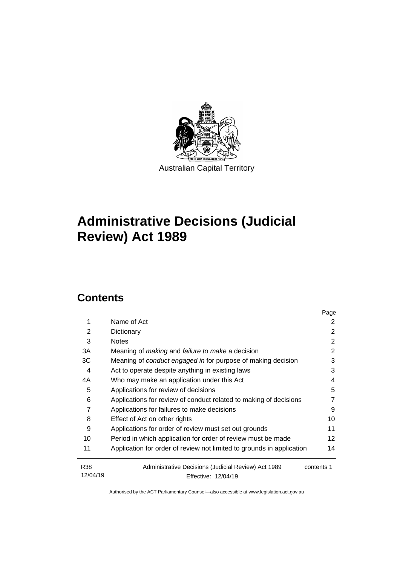

# **Administrative Decisions (Judicial Review) Act 1989**

# **Contents**

|                        |                                                                            | Page       |
|------------------------|----------------------------------------------------------------------------|------------|
| 1                      | Name of Act                                                                | 2          |
| 2                      | Dictionary                                                                 | 2          |
| 3                      | <b>Notes</b>                                                               | 2          |
| 3A                     | Meaning of <i>making</i> and <i>failure to make</i> a decision             | 2          |
| 3C                     | Meaning of <i>conduct engaged in</i> for purpose of making decision        | 3          |
| 4                      | Act to operate despite anything in existing laws                           | 3          |
| 4A                     | Who may make an application under this Act                                 | 4          |
| 5                      | Applications for review of decisions                                       | 5          |
| 6                      | Applications for review of conduct related to making of decisions          | 7          |
| 7                      | Applications for failures to make decisions                                | 9          |
| 8                      | Effect of Act on other rights                                              | 10         |
| 9                      | Applications for order of review must set out grounds                      | 11         |
| 10                     | Period in which application for order of review must be made               | 12         |
| 11                     | Application for order of review not limited to grounds in application      | 14         |
| <b>R38</b><br>12/04/19 | Administrative Decisions (Judicial Review) Act 1989<br>Effective: 12/04/19 | contents 1 |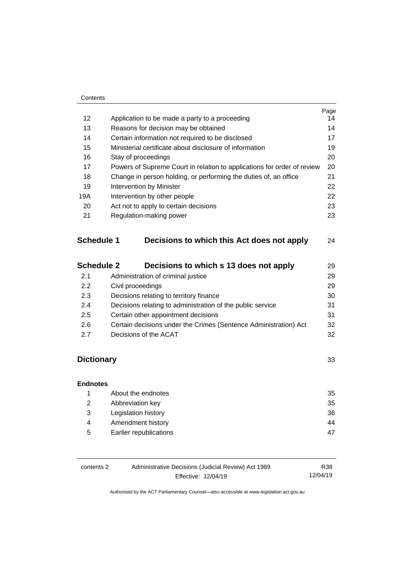|     |                                                                         | Page |
|-----|-------------------------------------------------------------------------|------|
| 12  | Application to be made a party to a proceeding                          | 14   |
| 13  | Reasons for decision may be obtained                                    | 14   |
| 14  | Certain information not required to be disclosed                        | 17   |
| 15  | Ministerial certificate about disclosure of information                 | 19   |
| 16  | Stay of proceedings                                                     | 20   |
| 17  | Powers of Supreme Court in relation to applications for order of review | 20   |
| 18  | Change in person holding, or performing the duties of, an office        | 21   |
| 19  | <b>Intervention by Minister</b>                                         | 22   |
| 19A | Intervention by other people                                            | 22   |
| 20  | Act not to apply to certain decisions                                   | 23   |
| 21  | Regulation-making power                                                 | 23   |
|     |                                                                         |      |
|     |                                                                         |      |

# **Schedule 1 [Decisions to which this Act does not apply](#page-27-0)** 24

| <b>Schedule 2</b> | Decisions to which s 13 does not apply                           | 29 |
|-------------------|------------------------------------------------------------------|----|
| 2.1               | Administration of criminal justice                               | 29 |
| 2.2               | Civil proceedings                                                | 29 |
| 2.3               | Decisions relating to territory finance                          | 30 |
| 2.4               | Decisions relating to administration of the public service       | 31 |
| 2.5               | Certain other appointment decisions                              | 31 |
| 2.6               | Certain decisions under the Crimes (Sentence Administration) Act | 32 |
| 27                | Decisions of the ACAT                                            | 32 |

# **[Dictionary](#page-36-0)** 33

| <b>Endnotes</b> |                        |    |
|-----------------|------------------------|----|
|                 | About the endnotes     | 35 |
| 2               | Abbreviation key       | 35 |
| 3               | Legislation history    | 36 |
| 4               | Amendment history      | 44 |
| 5               | Earlier republications | 47 |

| contents 2 | Administrative Decisions (Judicial Review) Act 1989 | R38      |
|------------|-----------------------------------------------------|----------|
|            | Effective: 12/04/19                                 | 12/04/19 |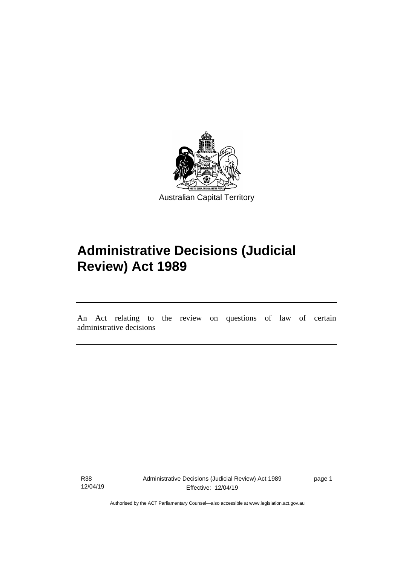

# **Administrative Decisions (Judicial Review) Act 1989**

An Act relating to the review on questions of law of certain administrative decisions

R38 12/04/19

I

page 1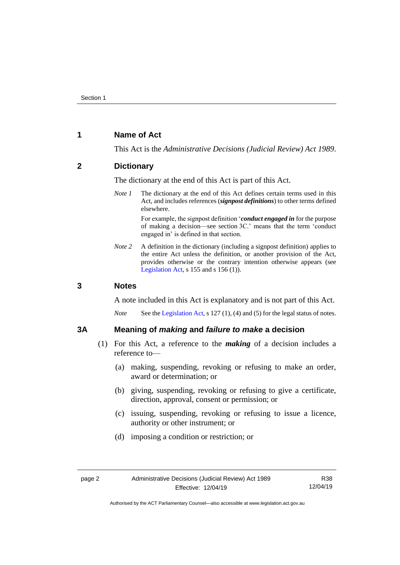# <span id="page-5-0"></span>**1 Name of Act**

This Act is the *Administrative Decisions (Judicial Review) Act 1989*.

# <span id="page-5-1"></span>**2 Dictionary**

The dictionary at the end of this Act is part of this Act.

*Note 1* The dictionary at the end of this Act defines certain terms used in this Act, and includes references (*signpost definitions*) to other terms defined elsewhere.

> For example, the signpost definition '*conduct engaged in* for the purpose of making a decision—see section 3C.' means that the term 'conduct engaged in' is defined in that section.

*Note 2* A definition in the dictionary (including a signpost definition) applies to the entire Act unless the definition, or another provision of the Act, provides otherwise or the contrary intention otherwise appears (see [Legislation Act,](http://www.legislation.act.gov.au/a/2001-14) s  $155$  and s  $156$  (1)).

# <span id="page-5-2"></span>**3 Notes**

A note included in this Act is explanatory and is not part of this Act.

*Note* See the [Legislation Act,](http://www.legislation.act.gov.au/a/2001-14) s 127 (1), (4) and (5) for the legal status of notes.

# <span id="page-5-3"></span>**3A Meaning of** *making* **and** *failure to make* **a decision**

- (1) For this Act, a reference to the *making* of a decision includes a reference to—
	- (a) making, suspending, revoking or refusing to make an order, award or determination; or
	- (b) giving, suspending, revoking or refusing to give a certificate, direction, approval, consent or permission; or
	- (c) issuing, suspending, revoking or refusing to issue a licence, authority or other instrument; or
	- (d) imposing a condition or restriction; or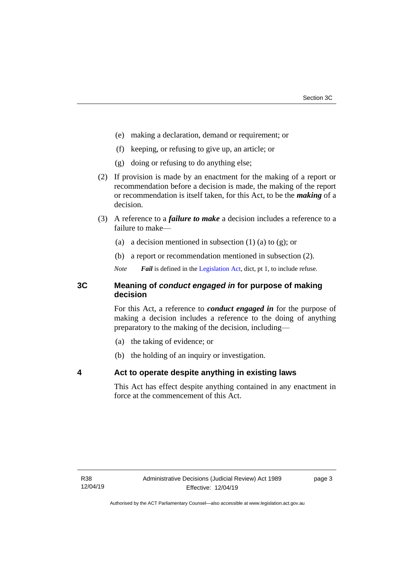- (e) making a declaration, demand or requirement; or
- (f) keeping, or refusing to give up, an article; or
- (g) doing or refusing to do anything else;
- (2) If provision is made by an enactment for the making of a report or recommendation before a decision is made, the making of the report or recommendation is itself taken, for this Act, to be the *making* of a decision.
- (3) A reference to a *failure to make* a decision includes a reference to a failure to make—
	- (a) a decision mentioned in subsection  $(1)$  (a) to  $(g)$ ; or
	- (b) a report or recommendation mentioned in subsection (2).
	- *Note Fail* is defined in the [Legislation Act,](http://www.legislation.act.gov.au/a/2001-14) dict, pt 1, to include refuse.

# <span id="page-6-0"></span>**3C Meaning of** *conduct engaged in* **for purpose of making decision**

For this Act, a reference to *conduct engaged in* for the purpose of making a decision includes a reference to the doing of anything preparatory to the making of the decision, including—

- (a) the taking of evidence; or
- (b) the holding of an inquiry or investigation.

# <span id="page-6-1"></span>**4 Act to operate despite anything in existing laws**

This Act has effect despite anything contained in any enactment in force at the commencement of this Act.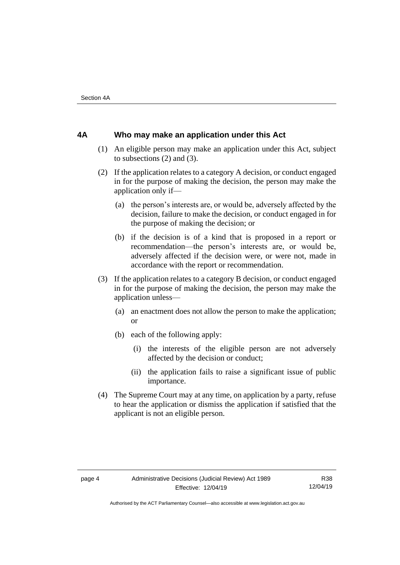# <span id="page-7-0"></span>**4A Who may make an application under this Act**

- (1) An eligible person may make an application under this Act, subject to subsections (2) and (3).
- (2) If the application relates to a category A decision, or conduct engaged in for the purpose of making the decision, the person may make the application only if—
	- (a) the person's interests are, or would be, adversely affected by the decision, failure to make the decision, or conduct engaged in for the purpose of making the decision; or
	- (b) if the decision is of a kind that is proposed in a report or recommendation—the person's interests are, or would be, adversely affected if the decision were, or were not, made in accordance with the report or recommendation.
- (3) If the application relates to a category B decision, or conduct engaged in for the purpose of making the decision, the person may make the application unless—
	- (a) an enactment does not allow the person to make the application; or
	- (b) each of the following apply:
		- (i) the interests of the eligible person are not adversely affected by the decision or conduct;
		- (ii) the application fails to raise a significant issue of public importance.
- (4) The Supreme Court may at any time, on application by a party, refuse to hear the application or dismiss the application if satisfied that the applicant is not an eligible person.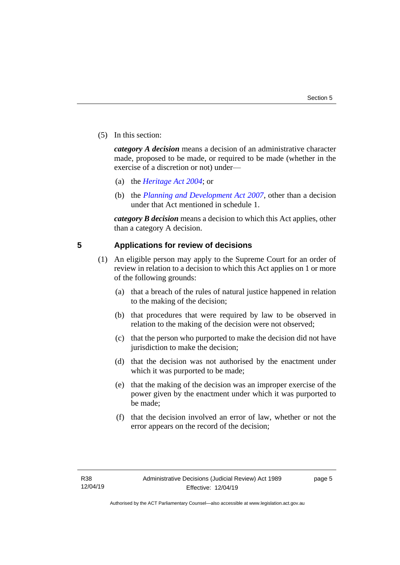(5) In this section:

*category A decision* means a decision of an administrative character made, proposed to be made, or required to be made (whether in the exercise of a discretion or not) under—

- (a) the *[Heritage Act 2004](http://www.legislation.act.gov.au/a/2004-57/default.asp)*; or
- (b) the *[Planning and Development Act 2007](http://www.legislation.act.gov.au/a/2007-24/default.asp)*, other than a decision under that Act mentioned in schedule 1.

*category B decision* means a decision to which this Act applies, other than a category A decision.

# <span id="page-8-0"></span>**5 Applications for review of decisions**

- (1) An eligible person may apply to the Supreme Court for an order of review in relation to a decision to which this Act applies on 1 or more of the following grounds:
	- (a) that a breach of the rules of natural justice happened in relation to the making of the decision;
	- (b) that procedures that were required by law to be observed in relation to the making of the decision were not observed;
	- (c) that the person who purported to make the decision did not have jurisdiction to make the decision;
	- (d) that the decision was not authorised by the enactment under which it was purported to be made;
	- (e) that the making of the decision was an improper exercise of the power given by the enactment under which it was purported to be made;
	- (f) that the decision involved an error of law, whether or not the error appears on the record of the decision;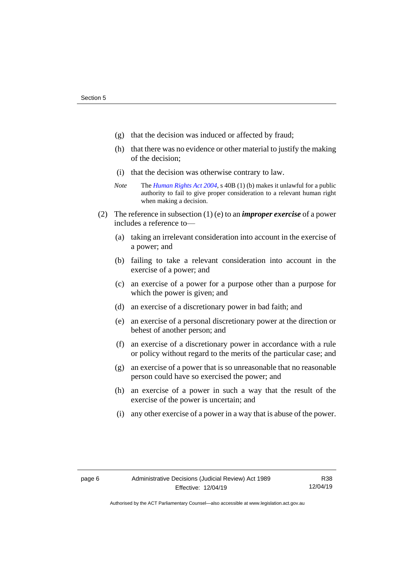- (g) that the decision was induced or affected by fraud;
- (h) that there was no evidence or other material to justify the making of the decision;
- (i) that the decision was otherwise contrary to law.
- *Note* The *[Human Rights Act 2004](http://www.legislation.act.gov.au/a/2004-5)*, s 40B (1) (b) makes it unlawful for a public authority to fail to give proper consideration to a relevant human right when making a decision.
- (2) The reference in subsection (1) (e) to an *improper exercise* of a power includes a reference to—
	- (a) taking an irrelevant consideration into account in the exercise of a power; and
	- (b) failing to take a relevant consideration into account in the exercise of a power; and
	- (c) an exercise of a power for a purpose other than a purpose for which the power is given; and
	- (d) an exercise of a discretionary power in bad faith; and
	- (e) an exercise of a personal discretionary power at the direction or behest of another person; and
	- (f) an exercise of a discretionary power in accordance with a rule or policy without regard to the merits of the particular case; and
	- (g) an exercise of a power that is so unreasonable that no reasonable person could have so exercised the power; and
	- (h) an exercise of a power in such a way that the result of the exercise of the power is uncertain; and
	- (i) any other exercise of a power in a way that is abuse of the power.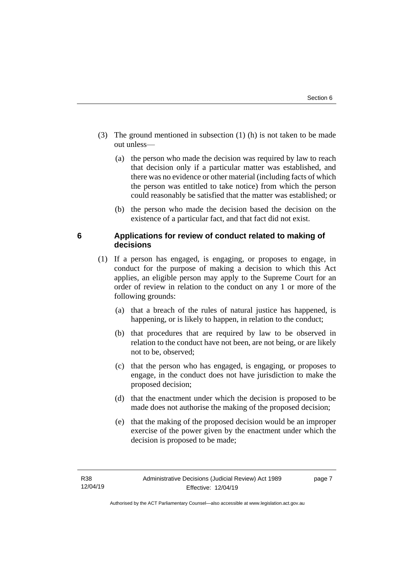- (3) The ground mentioned in subsection (1) (h) is not taken to be made out unless—
	- (a) the person who made the decision was required by law to reach that decision only if a particular matter was established, and there was no evidence or other material (including facts of which the person was entitled to take notice) from which the person could reasonably be satisfied that the matter was established; or
	- (b) the person who made the decision based the decision on the existence of a particular fact, and that fact did not exist.

# <span id="page-10-0"></span>**6 Applications for review of conduct related to making of decisions**

- (1) If a person has engaged, is engaging, or proposes to engage, in conduct for the purpose of making a decision to which this Act applies, an eligible person may apply to the Supreme Court for an order of review in relation to the conduct on any 1 or more of the following grounds:
	- (a) that a breach of the rules of natural justice has happened, is happening, or is likely to happen, in relation to the conduct;
	- (b) that procedures that are required by law to be observed in relation to the conduct have not been, are not being, or are likely not to be, observed;
	- (c) that the person who has engaged, is engaging, or proposes to engage, in the conduct does not have jurisdiction to make the proposed decision;
	- (d) that the enactment under which the decision is proposed to be made does not authorise the making of the proposed decision;
	- (e) that the making of the proposed decision would be an improper exercise of the power given by the enactment under which the decision is proposed to be made;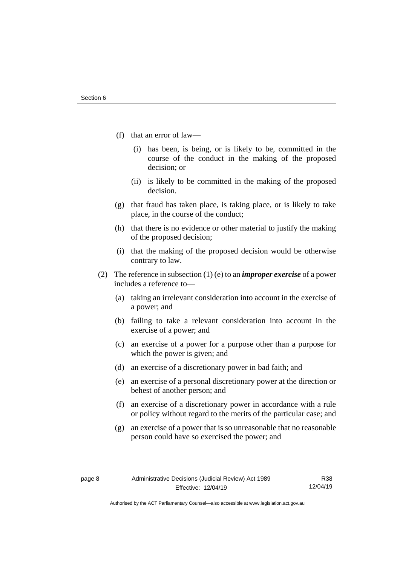- (f) that an error of law—
	- (i) has been, is being, or is likely to be, committed in the course of the conduct in the making of the proposed decision; or
	- (ii) is likely to be committed in the making of the proposed decision.
- (g) that fraud has taken place, is taking place, or is likely to take place, in the course of the conduct;
- (h) that there is no evidence or other material to justify the making of the proposed decision;
- (i) that the making of the proposed decision would be otherwise contrary to law.
- (2) The reference in subsection (1) (e) to an *improper exercise* of a power includes a reference to—
	- (a) taking an irrelevant consideration into account in the exercise of a power; and
	- (b) failing to take a relevant consideration into account in the exercise of a power; and
	- (c) an exercise of a power for a purpose other than a purpose for which the power is given; and
	- (d) an exercise of a discretionary power in bad faith; and
	- (e) an exercise of a personal discretionary power at the direction or behest of another person; and
	- (f) an exercise of a discretionary power in accordance with a rule or policy without regard to the merits of the particular case; and
	- (g) an exercise of a power that is so unreasonable that no reasonable person could have so exercised the power; and

R38 12/04/19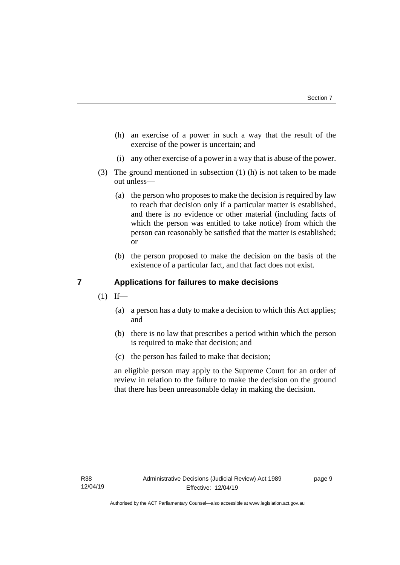- (h) an exercise of a power in such a way that the result of the exercise of the power is uncertain; and
- (i) any other exercise of a power in a way that is abuse of the power.
- (3) The ground mentioned in subsection (1) (h) is not taken to be made out unless—
	- (a) the person who proposes to make the decision is required by law to reach that decision only if a particular matter is established, and there is no evidence or other material (including facts of which the person was entitled to take notice) from which the person can reasonably be satisfied that the matter is established; or
	- (b) the person proposed to make the decision on the basis of the existence of a particular fact, and that fact does not exist.

# <span id="page-12-0"></span>**7 Applications for failures to make decisions**

- $(1)$  If—
	- (a) a person has a duty to make a decision to which this Act applies; and
	- (b) there is no law that prescribes a period within which the person is required to make that decision; and
	- (c) the person has failed to make that decision;

an eligible person may apply to the Supreme Court for an order of review in relation to the failure to make the decision on the ground that there has been unreasonable delay in making the decision.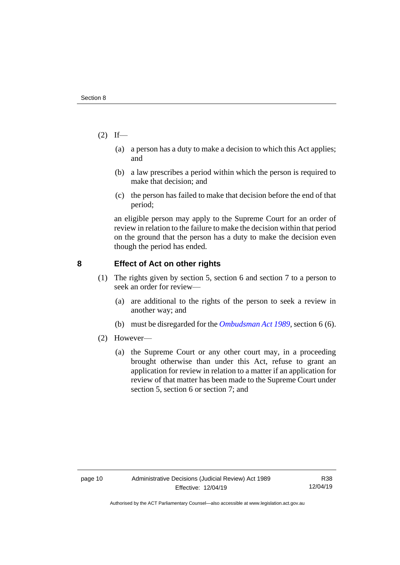- $(2)$  If—
	- (a) a person has a duty to make a decision to which this Act applies; and
	- (b) a law prescribes a period within which the person is required to make that decision; and
	- (c) the person has failed to make that decision before the end of that period;

an eligible person may apply to the Supreme Court for an order of review in relation to the failure to make the decision within that period on the ground that the person has a duty to make the decision even though the period has ended.

# <span id="page-13-0"></span>**8 Effect of Act on other rights**

- (1) The rights given by section 5, section 6 and section 7 to a person to seek an order for review—
	- (a) are additional to the rights of the person to seek a review in another way; and
	- (b) must be disregarded for the *[Ombudsman Act 1989](http://www.legislation.act.gov.au/a/alt_a1989-45co)*, section 6 (6).
- (2) However—
	- (a) the Supreme Court or any other court may, in a proceeding brought otherwise than under this Act, refuse to grant an application for review in relation to a matter if an application for review of that matter has been made to the Supreme Court under section 5, section 6 or section 7; and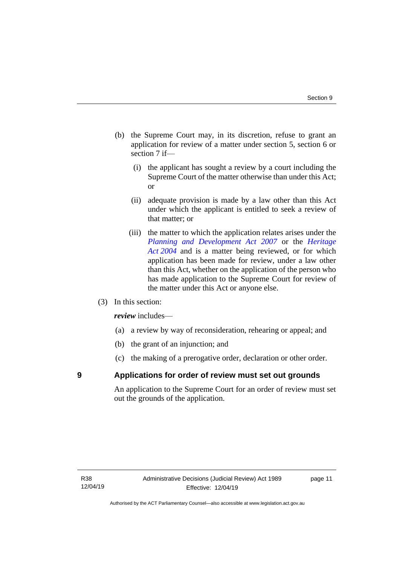- (b) the Supreme Court may, in its discretion, refuse to grant an application for review of a matter under section 5, section 6 or section 7 if—
	- (i) the applicant has sought a review by a court including the Supreme Court of the matter otherwise than under this Act; or
	- (ii) adequate provision is made by a law other than this Act under which the applicant is entitled to seek a review of that matter; or
	- (iii) the matter to which the application relates arises under the *[Planning and Development Act 2007](http://www.legislation.act.gov.au/a/2007-24)* or the *[Heritage](http://www.legislation.act.gov.au/a/2004-57)  Act [2004](http://www.legislation.act.gov.au/a/2004-57)* and is a matter being reviewed, or for which application has been made for review, under a law other than this Act, whether on the application of the person who has made application to the Supreme Court for review of the matter under this Act or anyone else.
- (3) In this section:

*review* includes—

- (a) a review by way of reconsideration, rehearing or appeal; and
- (b) the grant of an injunction; and
- (c) the making of a prerogative order, declaration or other order.

# <span id="page-14-0"></span>**9 Applications for order of review must set out grounds**

An application to the Supreme Court for an order of review must set out the grounds of the application.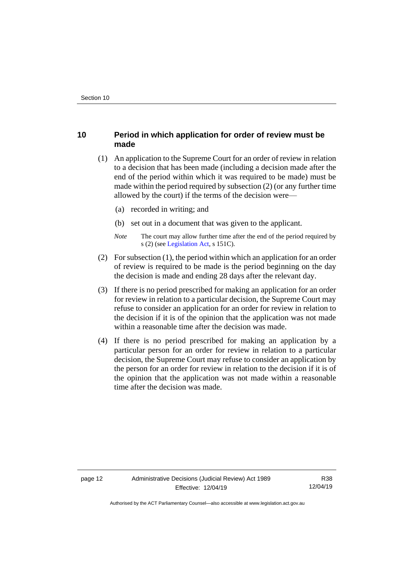# <span id="page-15-0"></span>**10 Period in which application for order of review must be made**

- (1) An application to the Supreme Court for an order of review in relation to a decision that has been made (including a decision made after the end of the period within which it was required to be made) must be made within the period required by subsection (2) (or any further time allowed by the court) if the terms of the decision were—
	- (a) recorded in writing; and
	- (b) set out in a document that was given to the applicant.
	- *Note* The court may allow further time after the end of the period required by s (2) (see [Legislation Act,](http://www.legislation.act.gov.au/a/2001-14) s 151C).
- (2) For subsection (1), the period within which an application for an order of review is required to be made is the period beginning on the day the decision is made and ending 28 days after the relevant day.
- (3) If there is no period prescribed for making an application for an order for review in relation to a particular decision, the Supreme Court may refuse to consider an application for an order for review in relation to the decision if it is of the opinion that the application was not made within a reasonable time after the decision was made.
- (4) If there is no period prescribed for making an application by a particular person for an order for review in relation to a particular decision, the Supreme Court may refuse to consider an application by the person for an order for review in relation to the decision if it is of the opinion that the application was not made within a reasonable time after the decision was made.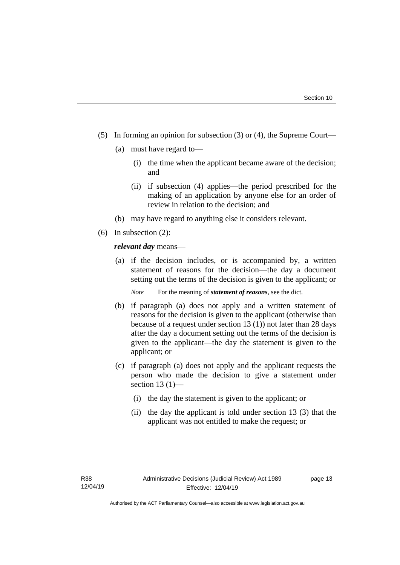- (5) In forming an opinion for subsection (3) or (4), the Supreme Court—
	- (a) must have regard to—
		- (i) the time when the applicant became aware of the decision; and
		- (ii) if subsection (4) applies—the period prescribed for the making of an application by anyone else for an order of review in relation to the decision; and
	- (b) may have regard to anything else it considers relevant.
- (6) In subsection (2):

*relevant day* means—

- (a) if the decision includes, or is accompanied by, a written statement of reasons for the decision—the day a document setting out the terms of the decision is given to the applicant; or
	- *Note* For the meaning of *statement of reasons*, see the dict.
- (b) if paragraph (a) does not apply and a written statement of reasons for the decision is given to the applicant (otherwise than because of a request under section 13 (1)) not later than 28 days after the day a document setting out the terms of the decision is given to the applicant—the day the statement is given to the applicant; or
- (c) if paragraph (a) does not apply and the applicant requests the person who made the decision to give a statement under section  $13(1)$ —
	- (i) the day the statement is given to the applicant; or
	- (ii) the day the applicant is told under section 13 (3) that the applicant was not entitled to make the request; or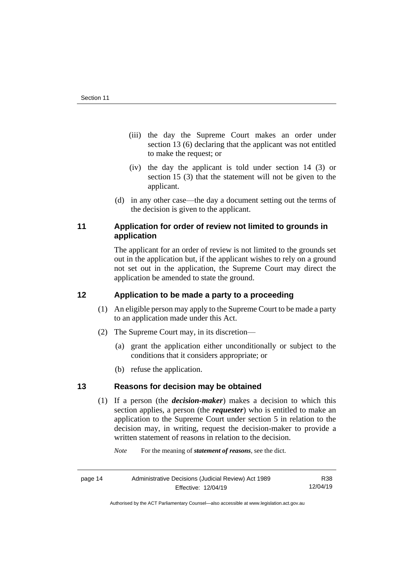- (iii) the day the Supreme Court makes an order under section 13 (6) declaring that the applicant was not entitled to make the request; or
- (iv) the day the applicant is told under section 14 (3) or section 15 (3) that the statement will not be given to the applicant.
- (d) in any other case—the day a document setting out the terms of the decision is given to the applicant.

# <span id="page-17-0"></span>**11 Application for order of review not limited to grounds in application**

The applicant for an order of review is not limited to the grounds set out in the application but, if the applicant wishes to rely on a ground not set out in the application, the Supreme Court may direct the application be amended to state the ground.

# <span id="page-17-1"></span>**12 Application to be made a party to a proceeding**

- (1) An eligible person may apply to the Supreme Court to be made a party to an application made under this Act.
- (2) The Supreme Court may, in its discretion—
	- (a) grant the application either unconditionally or subject to the conditions that it considers appropriate; or
	- (b) refuse the application.

# <span id="page-17-2"></span>**13 Reasons for decision may be obtained**

(1) If a person (the *decision-maker*) makes a decision to which this section applies, a person (the *requester*) who is entitled to make an application to the Supreme Court under section 5 in relation to the decision may, in writing, request the decision-maker to provide a written statement of reasons in relation to the decision.

*Note* For the meaning of *statement of reasons*, see the dict.

| page 14 | Administrative Decisions (Judicial Review) Act 1989 |          |
|---------|-----------------------------------------------------|----------|
|         | Effective: 12/04/19                                 | 12/04/19 |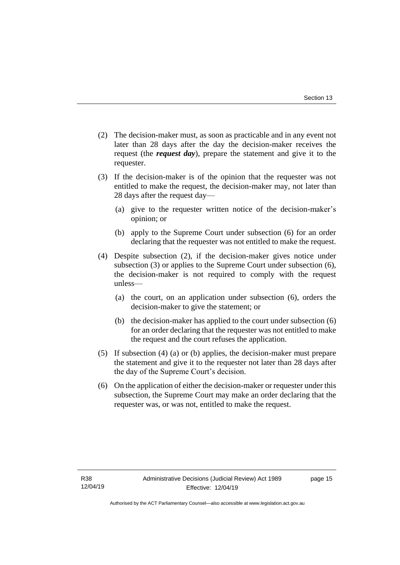- (2) The decision-maker must, as soon as practicable and in any event not later than 28 days after the day the decision-maker receives the request (the *request day*), prepare the statement and give it to the requester.
- (3) If the decision-maker is of the opinion that the requester was not entitled to make the request, the decision-maker may, not later than 28 days after the request day—
	- (a) give to the requester written notice of the decision-maker's opinion; or
	- (b) apply to the Supreme Court under subsection (6) for an order declaring that the requester was not entitled to make the request.
- (4) Despite subsection (2), if the decision-maker gives notice under subsection (3) or applies to the Supreme Court under subsection (6), the decision-maker is not required to comply with the request unless—
	- (a) the court, on an application under subsection (6), orders the decision-maker to give the statement; or
	- (b) the decision-maker has applied to the court under subsection (6) for an order declaring that the requester was not entitled to make the request and the court refuses the application.
- (5) If subsection (4) (a) or (b) applies, the decision-maker must prepare the statement and give it to the requester not later than 28 days after the day of the Supreme Court's decision.
- (6) On the application of either the decision-maker or requester under this subsection, the Supreme Court may make an order declaring that the requester was, or was not, entitled to make the request.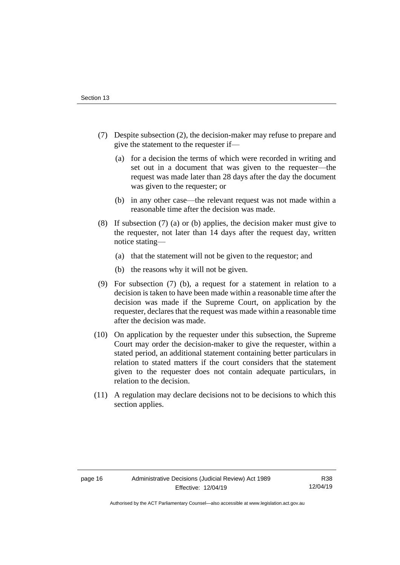- (7) Despite subsection (2), the decision-maker may refuse to prepare and give the statement to the requester if—
	- (a) for a decision the terms of which were recorded in writing and set out in a document that was given to the requester—the request was made later than 28 days after the day the document was given to the requester; or
	- (b) in any other case—the relevant request was not made within a reasonable time after the decision was made.
- (8) If subsection (7) (a) or (b) applies, the decision maker must give to the requester, not later than 14 days after the request day, written notice stating—
	- (a) that the statement will not be given to the requestor; and
	- (b) the reasons why it will not be given.
- (9) For subsection (7) (b), a request for a statement in relation to a decision is taken to have been made within a reasonable time after the decision was made if the Supreme Court, on application by the requester, declares that the request was made within a reasonable time after the decision was made.
- (10) On application by the requester under this subsection, the Supreme Court may order the decision-maker to give the requester, within a stated period, an additional statement containing better particulars in relation to stated matters if the court considers that the statement given to the requester does not contain adequate particulars, in relation to the decision.
- (11) A regulation may declare decisions not to be decisions to which this section applies.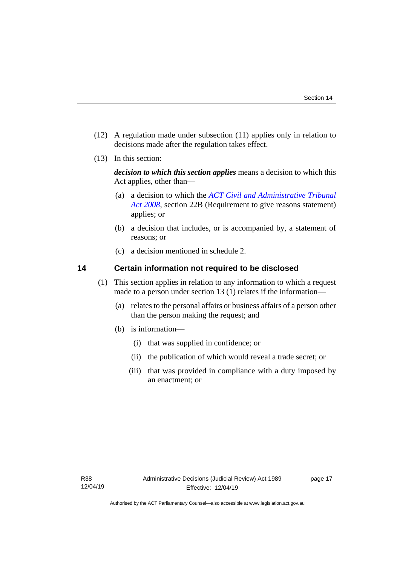- (12) A regulation made under subsection (11) applies only in relation to decisions made after the regulation takes effect.
- (13) In this section:

*decision to which this section applies* means a decision to which this Act applies, other than—

- (a) a decision to which the *[ACT Civil and Administrative Tribunal](http://www.legislation.act.gov.au/a/2008-35)  [Act 2008](http://www.legislation.act.gov.au/a/2008-35)*, section 22B (Requirement to give reasons statement) applies; or
- (b) a decision that includes, or is accompanied by, a statement of reasons; or
- (c) a decision mentioned in schedule 2.

# <span id="page-20-0"></span>**14 Certain information not required to be disclosed**

- (1) This section applies in relation to any information to which a request made to a person under section 13 (1) relates if the information—
	- (a) relates to the personal affairs or business affairs of a person other than the person making the request; and
	- (b) is information—
		- (i) that was supplied in confidence; or
		- (ii) the publication of which would reveal a trade secret; or
		- (iii) that was provided in compliance with a duty imposed by an enactment; or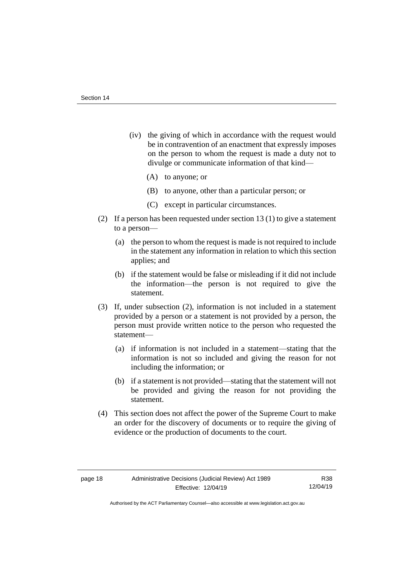- (iv) the giving of which in accordance with the request would be in contravention of an enactment that expressly imposes on the person to whom the request is made a duty not to divulge or communicate information of that kind—
	- (A) to anyone; or
	- (B) to anyone, other than a particular person; or
	- (C) except in particular circumstances.
- (2) If a person has been requested under section 13 (1) to give a statement to a person—
	- (a) the person to whom the request is made is not required to include in the statement any information in relation to which this section applies; and
	- (b) if the statement would be false or misleading if it did not include the information—the person is not required to give the statement.
- (3) If, under subsection (2), information is not included in a statement provided by a person or a statement is not provided by a person, the person must provide written notice to the person who requested the statement—
	- (a) if information is not included in a statement—stating that the information is not so included and giving the reason for not including the information; or
	- (b) if a statement is not provided—stating that the statement will not be provided and giving the reason for not providing the statement.
- (4) This section does not affect the power of the Supreme Court to make an order for the discovery of documents or to require the giving of evidence or the production of documents to the court.

R38 12/04/19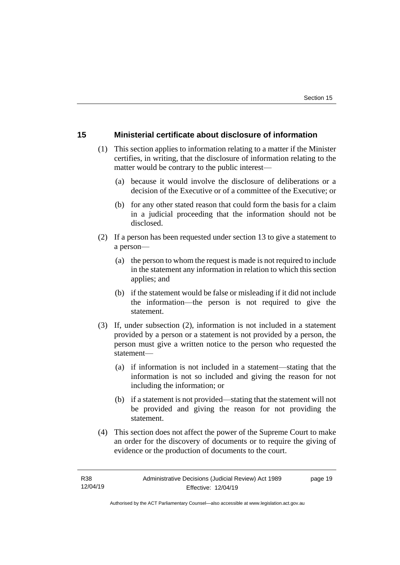# <span id="page-22-0"></span>**15 Ministerial certificate about disclosure of information**

- (1) This section applies to information relating to a matter if the Minister certifies, in writing, that the disclosure of information relating to the matter would be contrary to the public interest—
	- (a) because it would involve the disclosure of deliberations or a decision of the Executive or of a committee of the Executive; or
	- (b) for any other stated reason that could form the basis for a claim in a judicial proceeding that the information should not be disclosed.
- (2) If a person has been requested under section 13 to give a statement to a person—
	- (a) the person to whom the request is made is not required to include in the statement any information in relation to which this section applies; and
	- (b) if the statement would be false or misleading if it did not include the information—the person is not required to give the statement.
- (3) If, under subsection (2), information is not included in a statement provided by a person or a statement is not provided by a person, the person must give a written notice to the person who requested the statement—
	- (a) if information is not included in a statement—stating that the information is not so included and giving the reason for not including the information; or
	- (b) if a statement is not provided—stating that the statement will not be provided and giving the reason for not providing the statement.
- (4) This section does not affect the power of the Supreme Court to make an order for the discovery of documents or to require the giving of evidence or the production of documents to the court.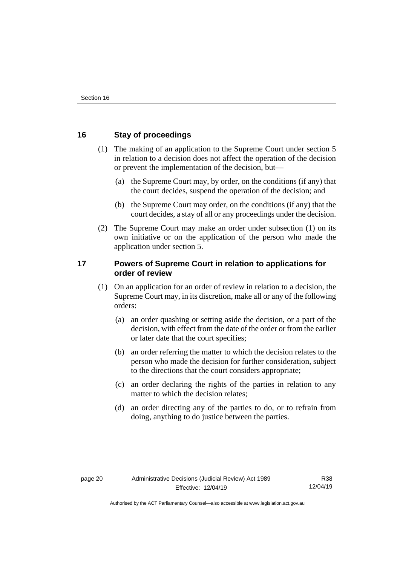# <span id="page-23-0"></span>**16 Stay of proceedings**

- (1) The making of an application to the Supreme Court under section 5 in relation to a decision does not affect the operation of the decision or prevent the implementation of the decision, but—
	- (a) the Supreme Court may, by order, on the conditions (if any) that the court decides, suspend the operation of the decision; and
	- (b) the Supreme Court may order, on the conditions (if any) that the court decides, a stay of all or any proceedings under the decision.
- (2) The Supreme Court may make an order under subsection (1) on its own initiative or on the application of the person who made the application under section 5.

# <span id="page-23-1"></span>**17 Powers of Supreme Court in relation to applications for order of review**

- (1) On an application for an order of review in relation to a decision, the Supreme Court may, in its discretion, make all or any of the following orders:
	- (a) an order quashing or setting aside the decision, or a part of the decision, with effect from the date of the order or from the earlier or later date that the court specifies;
	- (b) an order referring the matter to which the decision relates to the person who made the decision for further consideration, subject to the directions that the court considers appropriate;
	- (c) an order declaring the rights of the parties in relation to any matter to which the decision relates:
	- (d) an order directing any of the parties to do, or to refrain from doing, anything to do justice between the parties.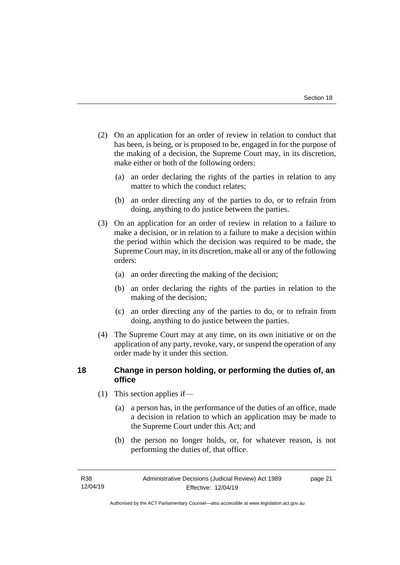- (2) On an application for an order of review in relation to conduct that has been, is being, or is proposed to be, engaged in for the purpose of the making of a decision, the Supreme Court may, in its discretion, make either or both of the following orders:
	- (a) an order declaring the rights of the parties in relation to any matter to which the conduct relates;
	- (b) an order directing any of the parties to do, or to refrain from doing, anything to do justice between the parties.
- (3) On an application for an order of review in relation to a failure to make a decision, or in relation to a failure to make a decision within the period within which the decision was required to be made, the Supreme Court may, in its discretion, make all or any of the following orders:
	- (a) an order directing the making of the decision;
	- (b) an order declaring the rights of the parties in relation to the making of the decision;
	- (c) an order directing any of the parties to do, or to refrain from doing, anything to do justice between the parties.
- (4) The Supreme Court may at any time, on its own initiative or on the application of any party, revoke, vary, or suspend the operation of any order made by it under this section.

# <span id="page-24-0"></span>**18 Change in person holding, or performing the duties of, an office**

- (1) This section applies if—
	- (a) a person has, in the performance of the duties of an office, made a decision in relation to which an application may be made to the Supreme Court under this Act; and
	- (b) the person no longer holds, or, for whatever reason, is not performing the duties of, that office.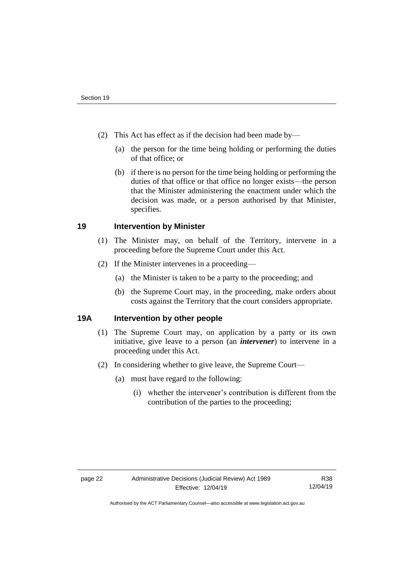- (2) This Act has effect as if the decision had been made by—
	- (a) the person for the time being holding or performing the duties of that office; or
	- (b) if there is no person for the time being holding or performing the duties of that office or that office no longer exists—the person that the Minister administering the enactment under which the decision was made, or a person authorised by that Minister, specifies.

# <span id="page-25-0"></span>**19 Intervention by Minister**

- (1) The Minister may, on behalf of the Territory, intervene in a proceeding before the Supreme Court under this Act.
- (2) If the Minister intervenes in a proceeding—
	- (a) the Minister is taken to be a party to the proceeding; and
	- (b) the Supreme Court may, in the proceeding, make orders about costs against the Territory that the court considers appropriate.

# <span id="page-25-1"></span>**19A Intervention by other people**

- (1) The Supreme Court may, on application by a party or its own initiative, give leave to a person (an *intervener*) to intervene in a proceeding under this Act.
- (2) In considering whether to give leave, the Supreme Court—
	- (a) must have regard to the following:
		- (i) whether the intervener's contribution is different from the contribution of the parties to the proceeding;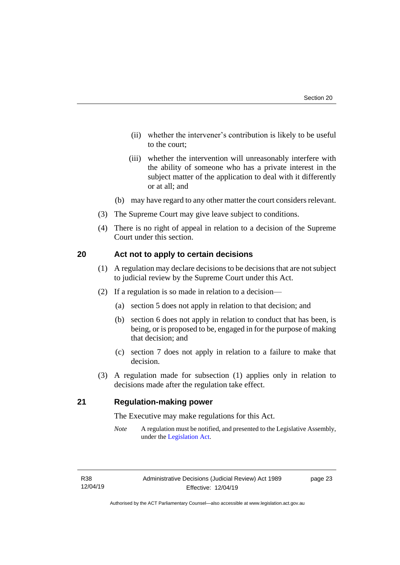- (ii) whether the intervener's contribution is likely to be useful to the court;
- (iii) whether the intervention will unreasonably interfere with the ability of someone who has a private interest in the subject matter of the application to deal with it differently or at all; and
- (b) may have regard to any other matter the court considers relevant.
- (3) The Supreme Court may give leave subject to conditions.
- (4) There is no right of appeal in relation to a decision of the Supreme Court under this section.

### <span id="page-26-0"></span>**20 Act not to apply to certain decisions**

- (1) A regulation may declare decisions to be decisions that are not subject to judicial review by the Supreme Court under this Act.
- (2) If a regulation is so made in relation to a decision—
	- (a) section 5 does not apply in relation to that decision; and
	- (b) section 6 does not apply in relation to conduct that has been, is being, or is proposed to be, engaged in for the purpose of making that decision; and
	- (c) section 7 does not apply in relation to a failure to make that decision.
- (3) A regulation made for subsection (1) applies only in relation to decisions made after the regulation take effect.

# <span id="page-26-1"></span>**21 Regulation-making power**

The Executive may make regulations for this Act.

*Note* A regulation must be notified, and presented to the Legislative Assembly, under the [Legislation Act.](http://www.legislation.act.gov.au/a/2001-14)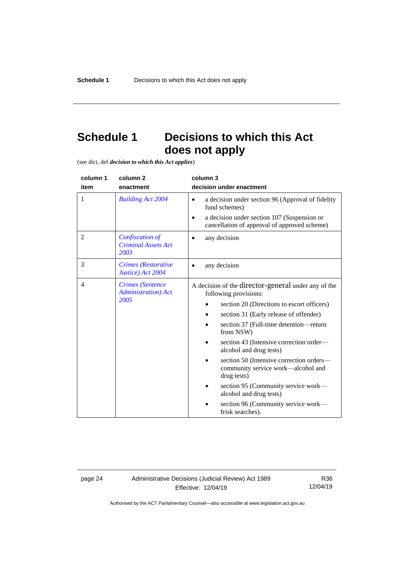# <span id="page-27-0"></span>**Schedule 1 Decisions to which this Act does not apply**

(see dict, def *decision to which this Act applies*)

| column 1<br>item | column <sub>2</sub><br>enactment                               | column 3<br>decision under enactment                                                                                                                                                                                                                                                                                                                                                                                                                                                                                            |
|------------------|----------------------------------------------------------------|---------------------------------------------------------------------------------------------------------------------------------------------------------------------------------------------------------------------------------------------------------------------------------------------------------------------------------------------------------------------------------------------------------------------------------------------------------------------------------------------------------------------------------|
| 1                | <b>Building Act 2004</b>                                       | a decision under section 96 (Approval of fidelity<br>$\bullet$<br>fund schemes)<br>a decision under section 107 (Suspension or<br>cancellation of approval of approved scheme)                                                                                                                                                                                                                                                                                                                                                  |
| $\overline{2}$   | Confiscation of<br><b>Criminal Assets Act</b><br>2003          | any decision                                                                                                                                                                                                                                                                                                                                                                                                                                                                                                                    |
| 3                | <b>Crimes</b> (Restorative<br>Justice) Act 2004                | any decision<br>٠                                                                                                                                                                                                                                                                                                                                                                                                                                                                                                               |
| 4                | <b>Crimes</b> (Sentence<br><b>Administration</b> ) Act<br>2005 | A decision of the director-general under any of the<br>following provisions:<br>section 20 (Directions to escort officers)<br>section 31 (Early release of offender)<br>section 37 (Full-time detention-return<br>from NSW)<br>section 43 (Intensive correction order—<br>alcohol and drug tests)<br>section 50 (Intensive correction orders—<br>community service work—alcohol and<br>drug tests)<br>section 95 (Community service work—<br>alcohol and drug tests)<br>section 96 (Community service work—<br>frisk searches). |

page 24 Administrative Decisions (Judicial Review) Act 1989 Effective: 12/04/19

R38 12/04/19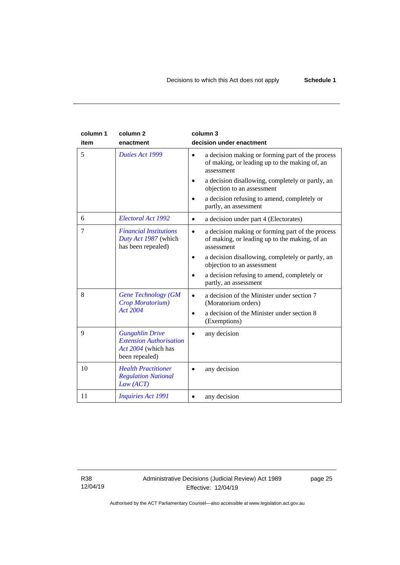| column 1<br>item | column <sub>2</sub><br>enactment                                                                  | column 3<br>decision under enactment                                                                                         |
|------------------|---------------------------------------------------------------------------------------------------|------------------------------------------------------------------------------------------------------------------------------|
| 5                | Duties Act 1999                                                                                   | a decision making or forming part of the process<br>$\bullet$<br>of making, or leading up to the making of, an<br>assessment |
|                  |                                                                                                   | a decision disallowing, completely or partly, an<br>objection to an assessment                                               |
|                  |                                                                                                   | a decision refusing to amend, completely or<br>partly, an assessment                                                         |
| 6                | Electoral Act 1992                                                                                | a decision under part 4 (Electorates)<br>$\bullet$                                                                           |
| 7                | <b>Financial Institutions</b><br>Duty Act 1987 (which<br>has been repealed)                       | a decision making or forming part of the process<br>of making, or leading up to the making, of an<br>assessment              |
|                  |                                                                                                   | a decision disallowing, completely or partly, an<br>$\bullet$<br>objection to an assessment                                  |
|                  |                                                                                                   | a decision refusing to amend, completely or<br>partly, an assessment                                                         |
| 8                | <b>Gene Technology (GM</b><br>Crop Moratorium)                                                    | a decision of the Minister under section 7<br>(Moratorium orders)                                                            |
|                  | <b>Act 2004</b>                                                                                   | a decision of the Minister under section 8<br>(Exemptions)                                                                   |
| 9                | <b>Gungahlin Drive</b><br><b>Extension Authorisation</b><br>Act 2004 (which has<br>been repealed) | any decision                                                                                                                 |
| 10               | <b>Health Practitioner</b><br><b>Regulation National</b><br>Law (ACT)                             | any decision                                                                                                                 |
| 11               | <b>Inquiries Act 1991</b>                                                                         | any decision                                                                                                                 |

R38 12/04/19

# Administrative Decisions (Judicial Review) Act 1989 Effective: 12/04/19

page 25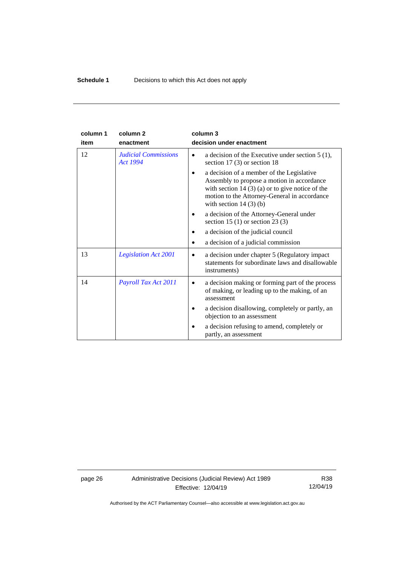| column 1 | column <sub>2</sub>                     | column 3                                                                                                                                                                                                               |
|----------|-----------------------------------------|------------------------------------------------------------------------------------------------------------------------------------------------------------------------------------------------------------------------|
| item     | enactment                               | decision under enactment                                                                                                                                                                                               |
| 12       | <b>Judicial Commissions</b><br>Act 1994 | a decision of the Executive under section $5(1)$ ,<br>section 17 $(3)$ or section 18                                                                                                                                   |
|          |                                         | a decision of a member of the Legislative<br>Assembly to propose a motion in accordance<br>with section $14(3)(a)$ or to give notice of the<br>motion to the Attorney-General in accordance<br>with section $14(3)(b)$ |
|          |                                         | a decision of the Attorney-General under<br>section 15 (1) or section 23 (3)                                                                                                                                           |
|          |                                         | a decision of the judicial council                                                                                                                                                                                     |
|          |                                         | a decision of a judicial commission                                                                                                                                                                                    |
| 13       | <b>Legislation Act 2001</b>             | a decision under chapter 5 (Regulatory impact)<br>$\bullet$<br>statements for subordinate laws and disallowable<br>instruments)                                                                                        |
| 14       | Payroll Tax Act 2011                    | a decision making or forming part of the process<br>$\bullet$<br>of making, or leading up to the making, of an<br>assessment                                                                                           |
|          |                                         | a decision disallowing, completely or partly, an<br>objection to an assessment                                                                                                                                         |
|          |                                         | a decision refusing to amend, completely or<br>partly, an assessment                                                                                                                                                   |

page 26 Administrative Decisions (Judicial Review) Act 1989 Effective: 12/04/19

R38 12/04/19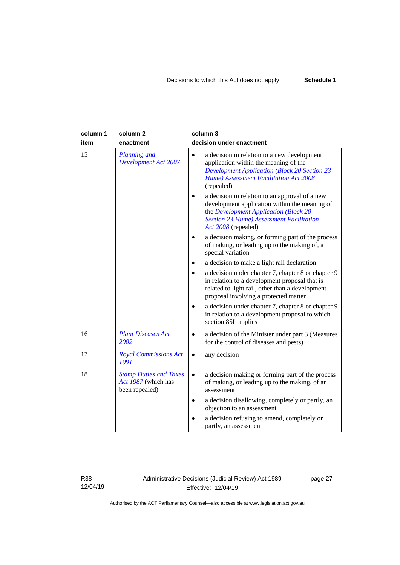| column 1 | column <sub>2</sub>                                                    | column 3                                                                                                                                                                                                           |
|----------|------------------------------------------------------------------------|--------------------------------------------------------------------------------------------------------------------------------------------------------------------------------------------------------------------|
| item     | enactment                                                              | decision under enactment                                                                                                                                                                                           |
| 15       | Planning and<br><b>Development Act 2007</b>                            | a decision in relation to a new development<br>application within the meaning of the<br><b>Development Application (Block 20 Section 23</b><br>Hume) Assessment Facilitation Act 2008<br>(repealed)                |
|          |                                                                        | a decision in relation to an approval of a new<br>development application within the meaning of<br>the Development Application (Block 20<br><b>Section 23 Hume) Assessment Facilitation</b><br>Act 2008 (repealed) |
|          |                                                                        | a decision making, or forming part of the process<br>of making, or leading up to the making of, a<br>special variation                                                                                             |
|          |                                                                        | a decision to make a light rail declaration                                                                                                                                                                        |
|          |                                                                        | a decision under chapter 7, chapter 8 or chapter 9<br>in relation to a development proposal that is<br>related to light rail, other than a development<br>proposal involving a protected matter                    |
|          |                                                                        | a decision under chapter 7, chapter 8 or chapter 9<br>in relation to a development proposal to which<br>section 85L applies                                                                                        |
| 16       | <b>Plant Diseases Act</b><br>2002                                      | a decision of the Minister under part 3 (Measures<br>for the control of diseases and pests)                                                                                                                        |
| 17       | <b>Royal Commissions Act</b><br>1991                                   | any decision                                                                                                                                                                                                       |
| 18       | <b>Stamp Duties and Taxes</b><br>Act 1987 (which has<br>been repealed) | a decision making or forming part of the process<br>$\bullet$<br>of making, or leading up to the making, of an<br>assessment                                                                                       |
|          |                                                                        | a decision disallowing, completely or partly, an<br>objection to an assessment                                                                                                                                     |
|          |                                                                        | a decision refusing to amend, completely or<br>partly, an assessment                                                                                                                                               |

R38 12/04/19

# Administrative Decisions (Judicial Review) Act 1989 Effective: 12/04/19

page 27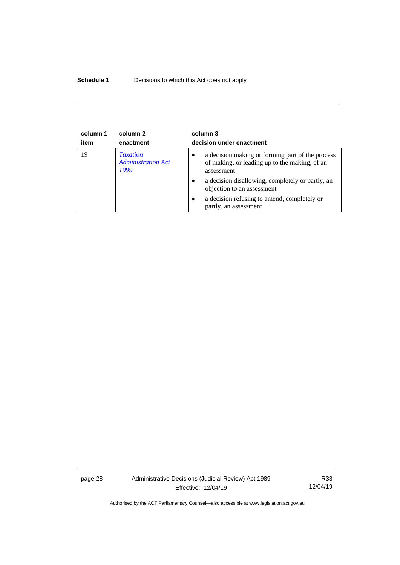# **Schedule 1** Decisions to which this Act does not apply

| column 1 | column 2                                             | column 3                                                                                                                                                                                                                                                                  |
|----------|------------------------------------------------------|---------------------------------------------------------------------------------------------------------------------------------------------------------------------------------------------------------------------------------------------------------------------------|
| item     | enactment                                            | decision under enactment                                                                                                                                                                                                                                                  |
| 19       | <b>Taxation</b><br><b>Administration Act</b><br>1999 | a decision making or forming part of the process<br>of making, or leading up to the making, of an<br>assessment<br>a decision disallowing, completely or partly, an<br>objection to an assessment<br>a decision refusing to amend, completely or<br>partly, an assessment |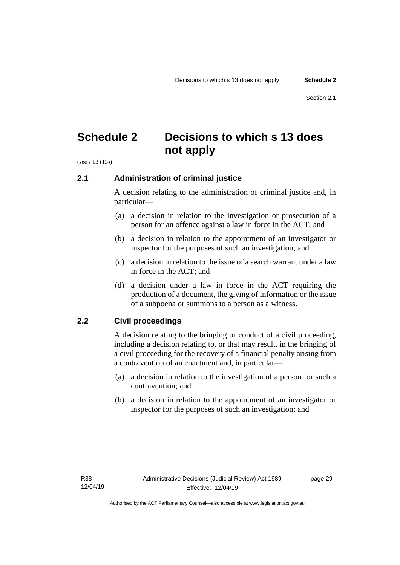# <span id="page-32-0"></span>**Schedule 2 Decisions to which s 13 does not apply**

<span id="page-32-1"></span>(see s 13 (13))

# **2.1 Administration of criminal justice**

A decision relating to the administration of criminal justice and, in particular—

- (a) a decision in relation to the investigation or prosecution of a person for an offence against a law in force in the ACT; and
- (b) a decision in relation to the appointment of an investigator or inspector for the purposes of such an investigation; and
- (c) a decision in relation to the issue of a search warrant under a law in force in the ACT; and
- (d) a decision under a law in force in the ACT requiring the production of a document, the giving of information or the issue of a subpoena or summons to a person as a witness.

# <span id="page-32-2"></span>**2.2 Civil proceedings**

A decision relating to the bringing or conduct of a civil proceeding, including a decision relating to, or that may result, in the bringing of a civil proceeding for the recovery of a financial penalty arising from a contravention of an enactment and, in particular—

- (a) a decision in relation to the investigation of a person for such a contravention; and
- (b) a decision in relation to the appointment of an investigator or inspector for the purposes of such an investigation; and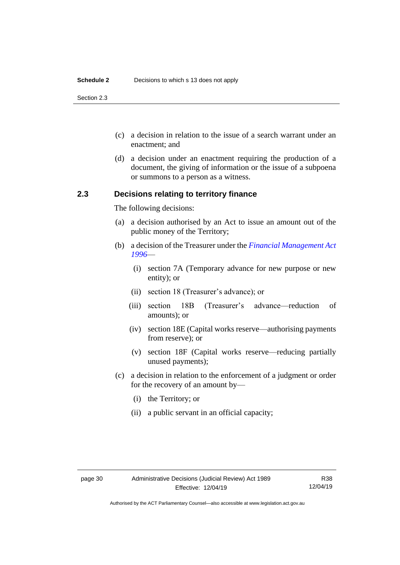#### **Schedule 2** Decisions to which s 13 does not apply

Section 2.3

- (c) a decision in relation to the issue of a search warrant under an enactment; and
- (d) a decision under an enactment requiring the production of a document, the giving of information or the issue of a subpoena or summons to a person as a witness.

## <span id="page-33-0"></span>**2.3 Decisions relating to territory finance**

The following decisions:

- (a) a decision authorised by an Act to issue an amount out of the public money of the Territory;
- (b) a decision of the Treasurer under the *[Financial Management Act](http://www.legislation.act.gov.au/a/1996-22)  [1996](http://www.legislation.act.gov.au/a/1996-22)*—
	- (i) section 7A (Temporary advance for new purpose or new entity); or
	- (ii) section 18 (Treasurer's advance); or
	- (iii) section 18B (Treasurer's advance—reduction of amounts); or
	- (iv) section 18E (Capital works reserve—authorising payments from reserve); or
	- (v) section 18F (Capital works reserve—reducing partially unused payments);
- (c) a decision in relation to the enforcement of a judgment or order for the recovery of an amount by—
	- (i) the Territory; or
	- (ii) a public servant in an official capacity;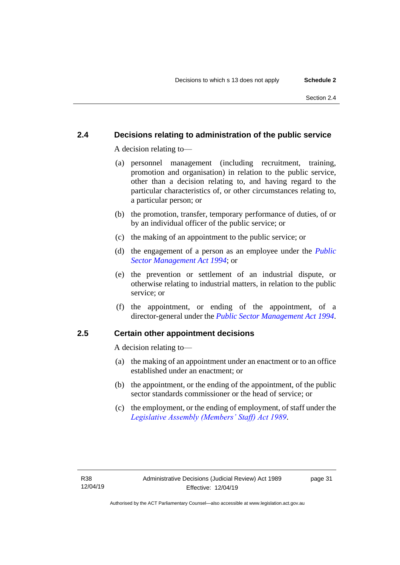# <span id="page-34-0"></span>**2.4 Decisions relating to administration of the public service**

A decision relating to—

- (a) personnel management (including recruitment, training, promotion and organisation) in relation to the public service, other than a decision relating to, and having regard to the particular characteristics of, or other circumstances relating to, a particular person; or
- (b) the promotion, transfer, temporary performance of duties, of or by an individual officer of the public service; or
- (c) the making of an appointment to the public service; or
- (d) the engagement of a person as an employee under the *[Public](http://www.legislation.act.gov.au/a/1994-37)  [Sector Management Act 1994](http://www.legislation.act.gov.au/a/1994-37)*; or
- (e) the prevention or settlement of an industrial dispute, or otherwise relating to industrial matters, in relation to the public service; or
- (f) the appointment, or ending of the appointment, of a director-general under the *[Public Sector Management Act](http://www.legislation.act.gov.au/a/1994-37) 1994*.

# <span id="page-34-1"></span>**2.5 Certain other appointment decisions**

A decision relating to—

- (a) the making of an appointment under an enactment or to an office established under an enactment; or
- (b) the appointment, or the ending of the appointment, of the public sector standards commissioner or the head of service; or
- (c) the employment, or the ending of employment, of staff under the *[Legislative Assembly \(Members' Staff\) Act 1989](http://www.legislation.act.gov.au/a/1989-19)*.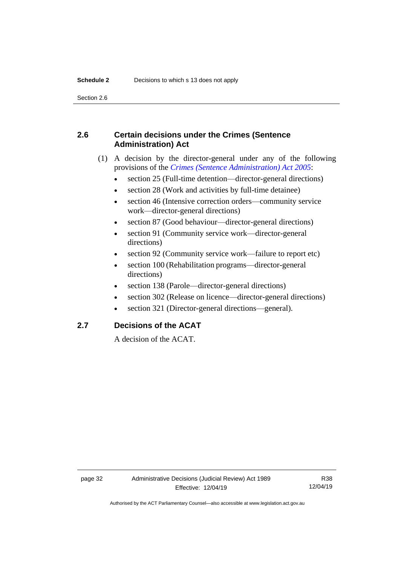Section 2.6

# <span id="page-35-0"></span>**2.6 Certain decisions under the Crimes (Sentence Administration) Act**

- (1) A decision by the director-general under any of the following provisions of the *[Crimes \(Sentence Administration\) Act 2005](http://www.legislation.act.gov.au/a/2005-59)*:
	- section 25 (Full-time detention—director-general directions)
	- section 28 (Work and activities by full-time detainee)
	- section 46 (Intensive correction orders—community service work—director-general directions)
	- section 87 (Good behaviour—director-general directions)
	- section 91 (Community service work—director-general directions)
	- section 92 (Community service work—failure to report etc)
	- section 100 (Rehabilitation programs—director-general directions)
	- section 138 (Parole—director-general directions)
	- section 302 (Release on licence—director-general directions)
	- section 321 (Director-general directions—general).

# <span id="page-35-1"></span>**2.7 Decisions of the ACAT**

A decision of the ACAT.

Authorised by the ACT Parliamentary Counsel—also accessible at www.legislation.act.gov.au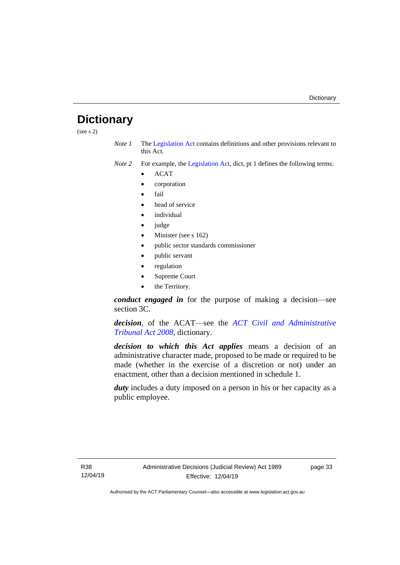# <span id="page-36-0"></span>**Dictionary**

(see s 2)

*Note 1* The [Legislation Act](http://www.legislation.act.gov.au/a/2001-14) contains definitions and other provisions relevant to this Act.

*Note 2* For example, the [Legislation Act,](http://www.legislation.act.gov.au/a/2001-14) dict, pt 1 defines the following terms:

- ACAT
- corporation
- fail
- head of service
- *individual*
- judge
- Minister (see s 162)
- public sector standards commissioner
- public servant
- regulation
- Supreme Court
- the Territory.

*conduct engaged in* for the purpose of making a decision—see section 3C.

*decision*, of the ACAT—see the *[ACT Civil and Administrative](http://www.legislation.act.gov.au/a/2008-35)  [Tribunal Act 2008](http://www.legislation.act.gov.au/a/2008-35)*, dictionary.

*decision to which this Act applies* means a decision of an administrative character made, proposed to be made or required to be made (whether in the exercise of a discretion or not) under an enactment, other than a decision mentioned in schedule 1.

*duty* includes a duty imposed on a person in his or her capacity as a public employee.

R38 12/04/19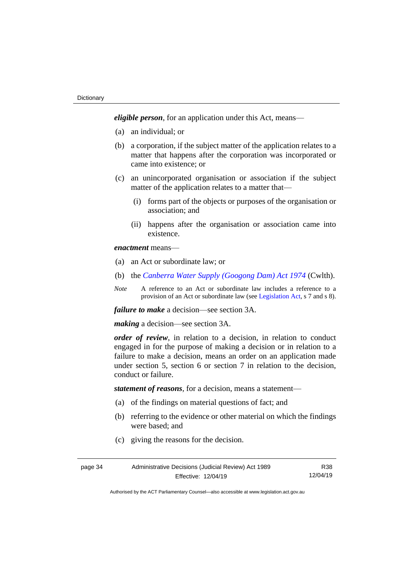*eligible person*, for an application under this Act, means—

- (a) an individual; or
- (b) a corporation, if the subject matter of the application relates to a matter that happens after the corporation was incorporated or came into existence; or
- (c) an unincorporated organisation or association if the subject matter of the application relates to a matter that—
	- (i) forms part of the objects or purposes of the organisation or association; and
	- (ii) happens after the organisation or association came into existence.

*enactment* means—

- (a) an Act or subordinate law; or
- (b) the *[Canberra Water Supply \(Googong Dam\) Act 1974](http://www.comlaw.gov.au/Details/C2008C00317)* (Cwlth).
- *Note* A reference to an Act or subordinate law includes a reference to a provision of an Act or subordinate law (se[e Legislation Act,](http://www.legislation.act.gov.au/a/2001-14) s 7 and s 8).

*failure to make* a decision—see section 3A.

*making* a decision—see section 3A.

*order of review*, in relation to a decision, in relation to conduct engaged in for the purpose of making a decision or in relation to a failure to make a decision, means an order on an application made under section 5, section 6 or section 7 in relation to the decision, conduct or failure.

*statement of reasons*, for a decision, means a statement—

- (a) of the findings on material questions of fact; and
- (b) referring to the evidence or other material on which the findings were based; and
- (c) giving the reasons for the decision.

| page 34 | Administrative Decisions (Judicial Review) Act 1989 |          |  |
|---------|-----------------------------------------------------|----------|--|
|         | Effective: 12/04/19                                 | 12/04/19 |  |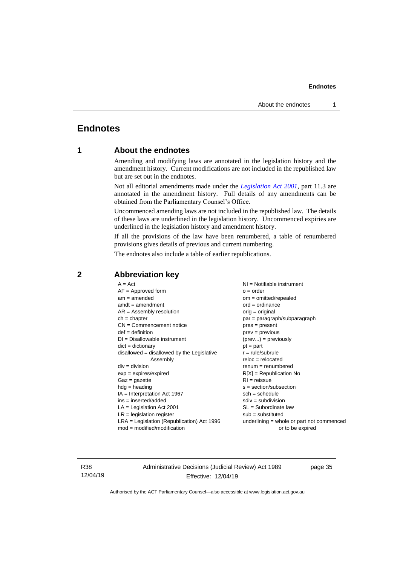# <span id="page-38-1"></span><span id="page-38-0"></span>**Endnotes**

# **1 About the endnotes**

Amending and modifying laws are annotated in the legislation history and the amendment history. Current modifications are not included in the republished law but are set out in the endnotes.

Not all editorial amendments made under the *[Legislation Act 2001](http://www.legislation.act.gov.au/a/2001-14)*, part 11.3 are annotated in the amendment history. Full details of any amendments can be obtained from the Parliamentary Counsel's Office.

Uncommenced amending laws are not included in the republished law. The details of these laws are underlined in the legislation history. Uncommenced expiries are underlined in the legislation history and amendment history.

If all the provisions of the law have been renumbered, a table of renumbered provisions gives details of previous and current numbering.

The endnotes also include a table of earlier republications.

| $A = Act$                                    | NI = Notifiable instrument                |
|----------------------------------------------|-------------------------------------------|
| $AF =$ Approved form                         | $o = order$                               |
| $am = amended$                               | $om = omitted/report$                     |
| $amdt = amendment$                           | $ord = ordinance$                         |
| $AR = Assembly resolution$                   | $orig = original$                         |
| $ch = chapter$                               | $par = paragraph/subparagraph$            |
| $CN =$ Commencement notice                   | $pres = present$                          |
| $def = definition$                           | $prev = previous$                         |
| $DI = Disallowable instrument$               | $(\text{prev}) = \text{previously}$       |
| $dict = dictionary$                          | $pt = part$                               |
| disallowed = disallowed by the Legislative   | $r = rule/subrule$                        |
| Assembly                                     | $reloc = relocated$                       |
| $div = division$                             | $remum = renumbered$                      |
| $exp = expires/expired$                      | $R[X]$ = Republication No                 |
| $Gaz = gazette$                              | $RI = reissue$                            |
| $hdg =$ heading                              | $s = section/subsection$                  |
| $IA = Interpretation Act 1967$               | $sch = schedule$                          |
| $ins = inserted/added$                       | $sdiv = subdivision$                      |
| $LA =$ Legislation Act 2001                  | $SL = Subordinate$ law                    |
| $LR =$ legislation register                  | $sub =$ substituted                       |
| $LRA =$ Legislation (Republication) Act 1996 | underlining = whole or part not commenced |
| $mod = modified/modification$                | or to be expired                          |
|                                              |                                           |

## <span id="page-38-2"></span>**2 Abbreviation key**

R38 12/04/19 Administrative Decisions (Judicial Review) Act 1989 Effective: 12/04/19

page 35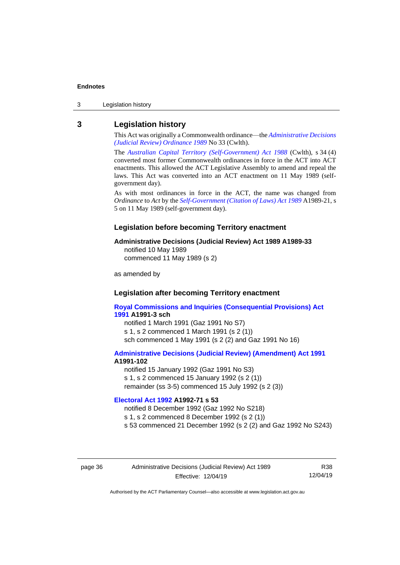3 Legislation history

# <span id="page-39-0"></span>**3 Legislation history**

This Act was originally a Commonwealth ordinance—the *[Administrative Decisions](http://www.legislation.act.gov.au/a/alt_a1989-33co)  [\(Judicial Review\) Ordinance 1989](http://www.legislation.act.gov.au/a/alt_a1989-33co)* No 33 (Cwlth).

The *[Australian Capital Territory \(Self-Government\) Act 1988](http://www.comlaw.gov.au/Current/C2004A03699)* (Cwlth), s 34 (4) converted most former Commonwealth ordinances in force in the ACT into ACT enactments. This allowed the ACT Legislative Assembly to amend and repeal the laws. This Act was converted into an ACT enactment on 11 May 1989 (selfgovernment day).

As with most ordinances in force in the ACT, the name was changed from *Ordinance* to *Act* by the *[Self-Government \(Citation of Laws\) Act 1989](http://www.legislation.act.gov.au/a/alt_ord1989-21/default.asp)* A1989-21, s 5 on 11 May 1989 (self-government day).

#### **Legislation before becoming Territory enactment**

#### **Administrative Decisions (Judicial Review) Act 1989 A1989-33**

notified 10 May 1989 commenced 11 May 1989 (s 2)

as amended by

### **Legislation after becoming Territory enactment**

**[Royal Commissions and Inquiries \(Consequential Provisions\) Act](http://www.legislation.act.gov.au/a/1991-3)  [1991](http://www.legislation.act.gov.au/a/1991-3) A1991-3 sch** notified 1 March 1991 (Gaz 1991 No S7)

s 1, s 2 commenced 1 March 1991 (s 2 (1)) sch commenced 1 May 1991 (s 2 (2) and Gaz 1991 No 16)

#### **[Administrative Decisions \(Judicial Review\) \(Amendment\) Act 1991](http://www.legislation.act.gov.au/a/1991-102) A1991-102**

notified 15 January 1992 (Gaz 1991 No S3) s 1, s 2 commenced 15 January 1992 (s 2 (1)) remainder (ss 3-5) commenced 15 July 1992 (s 2 (3))

### **[Electoral Act 1992](http://www.legislation.act.gov.au/a/1992-71) A1992-71 s 53**

notified 8 December 1992 (Gaz 1992 No S218) s 1, s 2 commenced 8 December 1992 (s 2 (1)) s 53 commenced 21 December 1992 (s 2 (2) and Gaz 1992 No S243)

page 36 Administrative Decisions (Judicial Review) Act 1989 Effective: 12/04/19

R38 12/04/19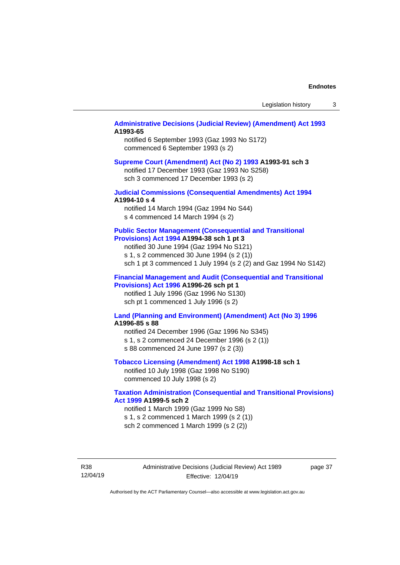#### **[Administrative Decisions \(Judicial Review\) \(Amendment\) Act 1993](http://www.legislation.act.gov.au/a/1993-65) A1993-65**

notified 6 September 1993 (Gaz 1993 No S172) commenced 6 September 1993 (s 2)

#### **[Supreme Court \(Amendment\) Act \(No 2\) 1993](http://www.legislation.act.gov.au/a/1993-91) A1993-91 sch 3**

notified 17 December 1993 (Gaz 1993 No S258) sch 3 commenced 17 December 1993 (s 2)

### **[Judicial Commissions \(Consequential Amendments\) Act 1994](http://www.legislation.act.gov.au/a/1994-10) A1994-10 s 4**

notified 14 March 1994 (Gaz 1994 No S44) s 4 commenced 14 March 1994 (s 2)

#### **Public [Sector Management \(Consequential and Transitional](http://www.legislation.act.gov.au/a/1994-38)  [Provisions\) Act 1994](http://www.legislation.act.gov.au/a/1994-38) A1994-38 sch 1 pt 3**

notified 30 June 1994 (Gaz 1994 No S121) s 1, s 2 commenced 30 June 1994 (s 2 (1)) sch 1 pt 3 commenced 1 July 1994 (s 2 (2) and Gaz 1994 No S142)

#### **[Financial Management and Audit \(Consequential and Transitional](http://www.legislation.act.gov.au/a/1996-26)  [Provisions\) Act 1996](http://www.legislation.act.gov.au/a/1996-26) A1996-26 sch pt 1**

notified 1 July 1996 (Gaz 1996 No S130) sch pt 1 commenced 1 July 1996 (s 2)

#### **[Land \(Planning and Environment\) \(Amendment\) Act \(No 3\) 1996](http://www.legislation.act.gov.au/a/1996-85) A1996-85 s 88**

notified 24 December 1996 (Gaz 1996 No S345) s 1, s 2 commenced 24 December 1996 (s 2 (1)) s 88 commenced 24 June 1997 (s 2 (3))

**[Tobacco Licensing \(Amendment\) Act 1998](http://www.legislation.act.gov.au/a/1998-18) A1998-18 sch 1**

notified 10 July 1998 (Gaz 1998 No S190) commenced 10 July 1998 (s 2)

#### **[Taxation Administration \(Consequential and Transitional Provisions\)](http://www.legislation.act.gov.au/a/1999-5)  [Act 1999](http://www.legislation.act.gov.au/a/1999-5) A1999-5 sch 2**

notified 1 March 1999 (Gaz 1999 No S8) s 1, s 2 commenced 1 March 1999 (s 2 (1)) sch 2 commenced 1 March 1999 (s 2 (2))

R38 12/04/19 page 37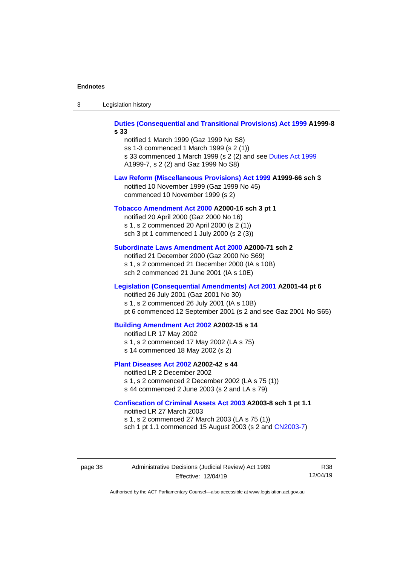|  | -3 | Legislation history |  |
|--|----|---------------------|--|
|--|----|---------------------|--|

**[Duties \(Consequential and Transitional Provisions\) Act 1999](http://www.legislation.act.gov.au/a/1999-8) A1999-8 s 33**

notified 1 March 1999 (Gaz 1999 No S8) ss 1-3 commenced 1 March 1999 (s 2 (1)) s 33 commenced 1 March 1999 (s 2 (2) and see [Duties Act 1999](http://www.legislation.act.gov.au/a/1999-7) A1999-7, s 2 (2) and Gaz 1999 No S8)

#### **[Law Reform \(Miscellaneous Provisions\) Act 1999](http://www.legislation.act.gov.au/a/1999-66) A1999-66 sch 3**

notified 10 November 1999 (Gaz 1999 No 45) commenced 10 November 1999 (s 2)

#### **[Tobacco Amendment Act 2000](http://www.legislation.act.gov.au/a/2000-16) A2000-16 sch 3 pt 1**

notified 20 April 2000 (Gaz 2000 No 16) s 1, s 2 commenced 20 April 2000 (s 2 (1)) sch 3 pt 1 commenced 1 July 2000 (s 2 (3))

#### **[Subordinate Laws Amendment Act 2000](http://www.legislation.act.gov.au/a/2000-71) A2000-71 sch 2**

notified 21 December 2000 (Gaz 2000 No S69) s 1, s 2 commenced 21 December 2000 (IA s 10B) sch 2 commenced 21 June 2001 (IA s 10E)

### **[Legislation \(Consequential Amendments\) Act 2001](http://www.legislation.act.gov.au/a/2001-44) A2001-44 pt 6**

notified 26 July 2001 (Gaz 2001 No 30)

s 1, s 2 commenced 26 July 2001 (IA s 10B)

pt 6 commenced 12 September 2001 (s 2 and see Gaz 2001 No S65)

#### **[Building Amendment Act 2002](http://www.legislation.act.gov.au/a/2002-15) A2002-15 s 14**

notified LR 17 May 2002 s 1, s 2 commenced 17 May 2002 (LA s 75) s 14 commenced 18 May 2002 (s 2)

#### **[Plant Diseases Act 2002](http://www.legislation.act.gov.au/a/2002-42) A2002-42 s 44**

notified LR 2 December 2002

s 1, s 2 commenced 2 December 2002 (LA s 75 (1)) s 44 commenced 2 June 2003 (s 2 and LA s 79)

#### **[Confiscation of Criminal Assets Act 2003](http://www.legislation.act.gov.au/a/2003-8) A2003-8 sch 1 pt 1.1**

notified LR 27 March 2003 s 1, s 2 commenced 27 March 2003 (LA s 75 (1)) sch 1 pt 1.1 commenced 15 August 2003 (s 2 and [CN2003-7\)](http://www.legislation.act.gov.au/cn/2003-7/default.asp)

page 38 Administrative Decisions (Judicial Review) Act 1989 Effective: 12/04/19

R38 12/04/19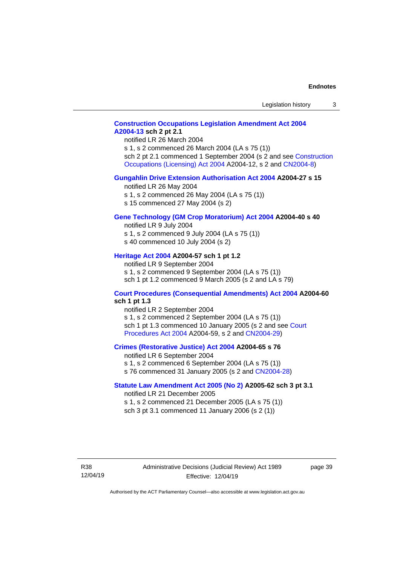# **[Construction Occupations Legislation Amendment Act 2004](http://www.legislation.act.gov.au/a/2004-13) [A2004-13](http://www.legislation.act.gov.au/a/2004-13) sch 2 pt 2.1**

notified LR 26 March 2004

s 1, s 2 commenced 26 March 2004 (LA s 75 (1)) sch 2 pt 2.1 commenced 1 September 2004 (s 2 and see Construction [Occupations \(Licensing\) Act 2004](http://www.legislation.act.gov.au/a/2004-12) A2004-12, s 2 and [CN2004-8\)](http://www.legislation.act.gov.au/cn/2004-8/default.asp)

#### **[Gungahlin Drive Extension Authorisation Act 2004](http://www.legislation.act.gov.au/a/2004-27) A2004-27 s 15**

notified LR 26 May 2004

- s 1, s 2 commenced 26 May 2004 (LA s 75 (1))
- s 15 commenced 27 May 2004 (s 2)

#### **[Gene Technology \(GM Crop Moratorium\) Act 2004](http://www.legislation.act.gov.au/a/2004-40) A2004-40 s 40**

notified LR 9 July 2004 s 1, s 2 commenced 9 July 2004 (LA s 75 (1))

s 40 commenced 10 July 2004 (s 2)

#### **[Heritage Act 2004](http://www.legislation.act.gov.au/a/2004-57) A2004-57 sch 1 pt 1.2**

notified LR 9 September 2004 s 1, s 2 commenced 9 September 2004 (LA s 75 (1)) sch 1 pt 1.2 commenced 9 March 2005 (s 2 and LA s 79)

#### **[Court Procedures \(Consequential Amendments\) Act 2004](http://www.legislation.act.gov.au/a/2004-60) A2004-60 sch 1 pt 1.3**

notified LR 2 September 2004 s 1, s 2 commenced 2 September 2004 (LA s 75 (1)) sch 1 pt 1.3 commenced 10 January 2005 (s 2 and see Court [Procedures Act](http://www.legislation.act.gov.au/a/2004-59) 2004 A2004-59, s 2 an[d CN2004-29\)](http://www.legislation.act.gov.au/cn/2004-29/default.asp)

#### **[Crimes \(Restorative Justice\) Act 2004](http://www.legislation.act.gov.au/a/2004-65) A2004-65 s 76**

notified LR 6 September 2004

- s 1, s 2 commenced 6 September 2004 (LA s 75 (1))
- s 76 commenced 31 January 2005 (s 2 and [CN2004-28\)](http://www.legislation.act.gov.au/cn/2004-28/default.asp)

#### **[Statute Law Amendment Act 2005 \(No 2\)](http://www.legislation.act.gov.au/a/2005-62) A2005-62 sch 3 pt 3.1**

notified LR 21 December 2005 s 1, s 2 commenced 21 December 2005 (LA s 75 (1)) sch 3 pt 3.1 commenced 11 January 2006 (s 2 (1))

R38 12/04/19 page 39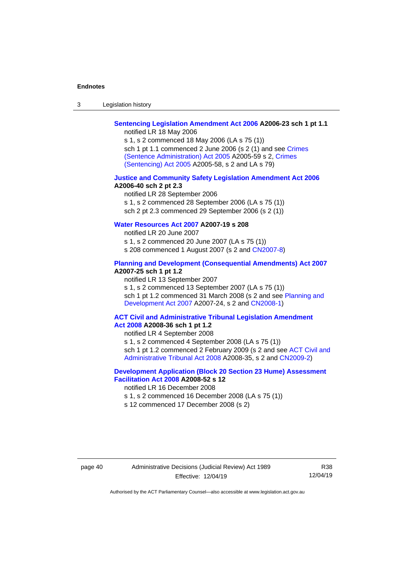3 Legislation history

#### **[Sentencing Legislation Amendment Act 2006](http://www.legislation.act.gov.au/a/2006-23) A2006-23 sch 1 pt 1.1** notified LR 18 May 2006

s 1, s 2 commenced 18 May 2006 (LA s 75 (1)) sch 1 pt 1.1 commenced 2 June 2006 (s 2 (1) and see Crimes [\(Sentence Administration\) Act 2005](http://www.legislation.act.gov.au/a/2005-59) A2005-59 s 2, [Crimes](http://www.legislation.act.gov.au/a/2005-58)  [\(Sentencing\) Act 2005](http://www.legislation.act.gov.au/a/2005-58) A2005-58, s 2 and LA s 79)

#### **[Justice and Community Safety Legislation Amendment Act 2006](http://www.legislation.act.gov.au/a/2006-40) A2006-40 sch 2 pt 2.3**

notified LR 28 September 2006 s 1, s 2 commenced 28 September 2006 (LA s 75 (1)) sch 2 pt 2.3 commenced 29 September 2006 (s 2 (1))

# **[Water Resources Act 2007](http://www.legislation.act.gov.au/a/2007-19) A2007-19 s 208**

notified LR 20 June 2007

s 1, s 2 commenced 20 June 2007 (LA s 75 (1))

s 208 commenced 1 August 2007 (s 2 and [CN2007-8\)](http://www.legislation.act.gov.au/cn/2007-8/default.asp)

#### **[Planning and Development \(Consequential Amendments\) Act](http://www.legislation.act.gov.au/a/2007-25) 2007 A2007-25 sch 1 pt 1.2**

notified LR 13 September 2007

s 1, s 2 commenced 13 September 2007 (LA s 75 (1)) sch 1 pt 1.2 commenced 31 March 2008 (s 2 and see Planning and [Development Act 2007](http://www.legislation.act.gov.au/a/2007-24) A2007-24, s 2 and [CN2008-1\)](http://www.legislation.act.gov.au/cn/2008-1/default.asp)

#### **[ACT Civil and Administrative Tribunal Legislation Amendment](http://www.legislation.act.gov.au/a/2008-36)  Act [2008](http://www.legislation.act.gov.au/a/2008-36) A2008-36 sch 1 pt 1.2**

notified LR 4 September 2008

s 1, s 2 commenced 4 September 2008 (LA s 75 (1))

sch 1 pt 1.2 commenced 2 February 2009 (s 2 and see ACT Civil and [Administrative Tribunal Act 2008](http://www.legislation.act.gov.au/a/2008-35) A2008-35, s 2 and [CN2009-2\)](http://www.legislation.act.gov.au/cn/2009-2/default.asp)

### **[Development Application \(Block 20 Section 23 Hume\) Assessment](http://www.legislation.act.gov.au/a/2008-52)  [Facilitation Act 2008](http://www.legislation.act.gov.au/a/2008-52) A2008-52 s 12**

notified LR 16 December 2008

- s 1, s 2 commenced 16 December 2008 (LA s 75 (1))
- s 12 commenced 17 December 2008 (s 2)

### page 40 Administrative Decisions (Judicial Review) Act 1989 Effective: 12/04/19

R38 12/04/19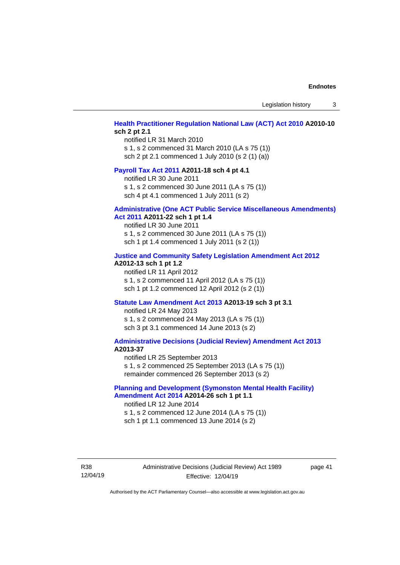Legislation history 3

### **[Health Practitioner Regulation National Law \(ACT\) Act 2010](http://www.legislation.act.gov.au/a/2010-10) A2010-10 sch 2 pt 2.1**

notified LR 31 March 2010 s 1, s 2 commenced 31 March 2010 (LA s 75 (1)) sch 2 pt 2.1 commenced 1 July 2010 (s 2 (1) (a))

#### **[Payroll Tax Act 2011](http://www.legislation.act.gov.au/a/2011-18) A2011-18 sch 4 pt 4.1**

notified LR 30 June 2011 s 1, s 2 commenced 30 June 2011 (LA s 75 (1)) sch 4 pt 4.1 commenced 1 July 2011 (s 2)

#### **[Administrative \(One ACT Public Service Miscellaneous Amendments\)](http://www.legislation.act.gov.au/a/2011-22)  Act [2011](http://www.legislation.act.gov.au/a/2011-22) A2011-22 sch 1 pt 1.4**

notified LR 30 June 2011 s 1, s 2 commenced 30 June 2011 (LA s 75 (1)) sch 1 pt 1.4 commenced 1 July 2011 (s 2 (1))

#### **[Justice and Community Safety Legislation Amendment Act 2012](http://www.legislation.act.gov.au/a/2012-13)**

#### **A2012-13 sch 1 pt 1.2**

notified LR 11 April 2012 s 1, s 2 commenced 11 April 2012 (LA s 75 (1)) sch 1 pt 1.2 commenced 12 April 2012 (s 2 (1))

#### **[Statute Law Amendment Act 2013](http://www.legislation.act.gov.au/a/2013-19) A2013-19 sch 3 pt 3.1**

notified LR 24 May 2013 s 1, s 2 commenced 24 May 2013 (LA s 75 (1)) sch 3 pt 3.1 commenced 14 June 2013 (s 2)

#### **[Administrative Decisions \(Judicial Review\) Amendment Act 2013](http://www.legislation.act.gov.au/a/2013-37) A2013-37**

notified LR 25 September 2013 s 1, s 2 commenced 25 September 2013 (LA s 75 (1)) remainder commenced 26 September 2013 (s 2)

### **[Planning and Development \(Symonston Mental Health Facility\)](http://www.legislation.act.gov.au/a/2014-26)  [Amendment Act 2014](http://www.legislation.act.gov.au/a/2014-26) A2014-26 sch 1 pt 1.1**

notified LR 12 June 2014 s 1, s 2 commenced 12 June 2014 (LA s 75 (1)) sch 1 pt 1.1 commenced 13 June 2014 (s 2)

R38 12/04/19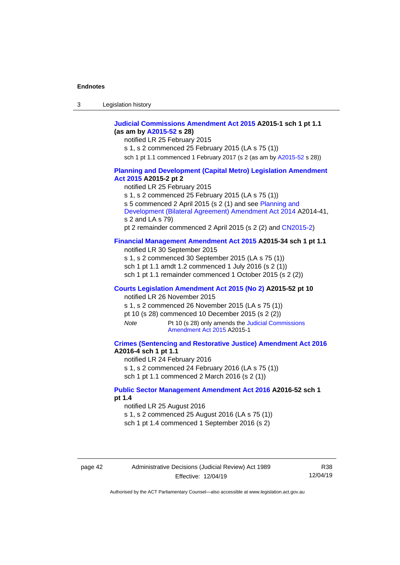| -3 | Legislation history |  |
|----|---------------------|--|
|----|---------------------|--|

### **[Judicial Commissions Amendment Act 2015](http://www.legislation.act.gov.au/a/2015-1) A2015-1 sch 1 pt 1.1 (as am by [A2015-52](http://www.legislation.act.gov.au/a/2015-52) s 28)**

notified LR 25 February 2015

s 1, s 2 commenced 25 February 2015 (LA s 75 (1))

sch 1 pt 1.1 commenced 1 February 2017 (s 2 (as am b[y A2015-52](http://www.legislation.act.gov.au/a/2015-52) s 28))

#### **[Planning and Development \(Capital Metro\) Legislation Amendment](http://www.legislation.act.gov.au/a/2015-2)  Act [2015](http://www.legislation.act.gov.au/a/2015-2) A2015-2 pt 2**

notified LR 25 February 2015

s 1, s 2 commenced 25 February 2015 (LA s 75 (1))

s 5 commenced 2 April 2015 (s 2 (1) and see [Planning and](http://www.legislation.act.gov.au/a/2014-41/default.asp) 

[Development \(Bilateral Agreement\) Amendment Act](http://www.legislation.act.gov.au/a/2014-41/default.asp) 2014 A2014-41, s 2 and LA s 79)

pt 2 remainder commenced 2 April 2015 (s 2 (2) and [CN2015-2\)](http://www.legislation.act.gov.au/cn/2015-2/default.asp)

#### **[Financial Management Amendment Act 2015](http://www.legislation.act.gov.au/a/2015-34/default.asp) A2015-34 sch 1 pt 1.1**

notified LR 30 September 2015 s 1, s 2 commenced 30 September 2015 (LA s 75 (1)) sch 1 pt 1.1 amdt 1.2 commenced 1 July 2016 (s 2 (1)) sch 1 pt 1.1 remainder commenced 1 October 2015 (s 2 (2))

#### **[Courts Legislation Amendment Act 2015 \(No 2\)](http://www.legislation.act.gov.au/a/2015-52/default.asp) A2015-52 pt 10**

notified LR 26 November 2015 s 1, s 2 commenced 26 November 2015 (LA s 75 (1)) pt 10 (s 28) commenced 10 December 2015 (s 2 (2))

*Note* Pt 10 (s 28) only amends the Judicial Commissions [Amendment Act](http://www.legislation.act.gov.au/a/2015-1) 2015 A2015-1

### **[Crimes \(Sentencing and Restorative Justice\) Amendment Act 2016](http://www.legislation.act.gov.au/a/2016-4/default.asp) A2016-4 sch 1 pt 1.1**

notified LR 24 February 2016

s 1, s 2 commenced 24 February 2016 (LA s 75 (1))

sch 1 pt 1.1 commenced 2 March 2016 (s 2 (1))

#### **[Public Sector Management Amendment Act 2016](http://www.legislation.act.gov.au/a/2016-52/default.asp) A2016-52 sch 1 pt 1.4**

notified LR 25 August 2016

s 1, s 2 commenced 25 August 2016 (LA s 75 (1))

sch 1 pt 1.4 commenced 1 September 2016 (s 2)

page 42 Administrative Decisions (Judicial Review) Act 1989 Effective: 12/04/19

R38 12/04/19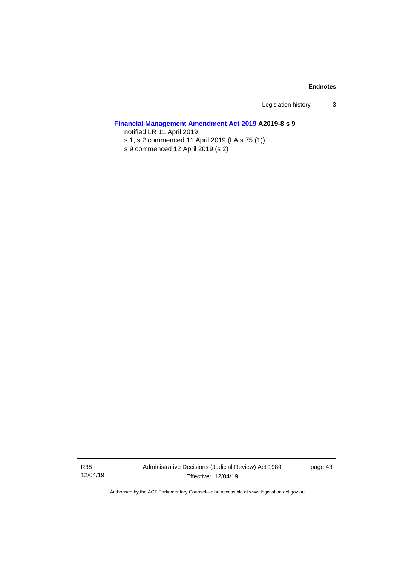Legislation history 3

# **[Financial Management Amendment Act 2019](http://www.legislation.act.gov.au/a/2019-8/default.asp) A2019-8 s 9**

notified LR 11 April 2019 s 1, s 2 commenced 11 April 2019 (LA s 75 (1))

s 9 commenced 12 April 2019 (s 2)

R38 12/04/19 Administrative Decisions (Judicial Review) Act 1989 Effective: 12/04/19

page 43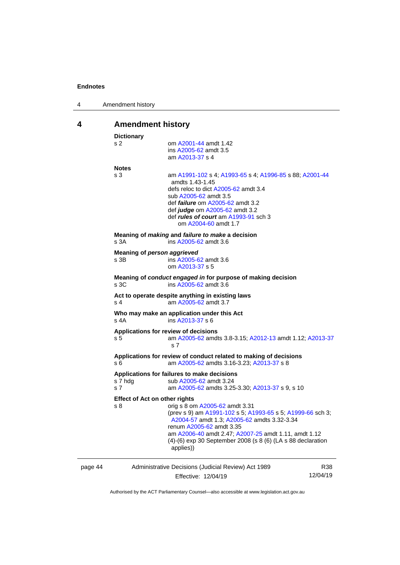|  | Amendment history |  |
|--|-------------------|--|
|--|-------------------|--|

# <span id="page-47-0"></span>**4 Amendment history**

|         | <b>Dictionary</b>                           |                                                                                                                                                                                                                                                                                                                                                                                            |                 |
|---------|---------------------------------------------|--------------------------------------------------------------------------------------------------------------------------------------------------------------------------------------------------------------------------------------------------------------------------------------------------------------------------------------------------------------------------------------------|-----------------|
|         | s 2                                         | om A2001-44 amdt 1.42<br>ins A2005-62 amdt 3.5<br>am A2013-37 s 4                                                                                                                                                                                                                                                                                                                          |                 |
|         | <b>Notes</b><br>s <sub>3</sub><br>s 3A      | am A1991-102 s 4; A1993-65 s 4; A1996-85 s 88; A2001-44<br>amdts 1.43-1.45<br>defs reloc to dict A2005-62 amdt 3.4<br>sub A2005-62 amdt 3.5<br>def <i>failure</i> om A2005-62 amdt 3.2<br>def <i>judge</i> om A2005-62 amdt 3.2<br>def rules of court am A1993-91 sch 3<br>om A2004-60 amdt 1.7<br>Meaning of <i>making</i> and <i>failure to make</i> a decision<br>ins A2005-62 amdt 3.6 |                 |
|         | Meaning of person aggrieved<br>s 3B         | ins A2005-62 amdt 3.6<br>om A2013-37 s 5                                                                                                                                                                                                                                                                                                                                                   |                 |
|         | s 3C                                        | Meaning of <i>conduct engaged in</i> for purpose of making decision<br>ins A2005-62 amdt 3.6                                                                                                                                                                                                                                                                                               |                 |
|         | s <sub>4</sub>                              | Act to operate despite anything in existing laws<br>am A2005-62 amdt 3.7                                                                                                                                                                                                                                                                                                                   |                 |
|         | $s$ 4A                                      | Who may make an application under this Act<br>ins A2013-37 s 6                                                                                                                                                                                                                                                                                                                             |                 |
|         | s 5                                         | Applications for review of decisions<br>am A2005-62 amdts 3.8-3.15; A2012-13 amdt 1.12; A2013-37<br>s <sub>7</sub>                                                                                                                                                                                                                                                                         |                 |
|         | s 6                                         | Applications for review of conduct related to making of decisions<br>am A2005-62 amdts 3.16-3.23; A2013-37 s 8                                                                                                                                                                                                                                                                             |                 |
|         | s 7 hdg<br>s <sub>7</sub>                   | Applications for failures to make decisions<br>sub A2005-62 amdt 3.24<br>am A2005-62 amdts 3.25-3.30; A2013-37 s 9, s 10                                                                                                                                                                                                                                                                   |                 |
|         | <b>Effect of Act on other rights</b><br>s 8 | orig s 8 om A2005-62 amdt 3.31<br>(prev s 9) am A1991-102 s 5; A1993-65 s 5; A1999-66 sch 3;<br>A2004-57 amdt 1.3; A2005-62 amdts 3.32-3.34<br>renum A2005-62 amdt 3.35<br>am A2006-40 amdt 2.47; A2007-25 amdt 1.11, amdt 1.12<br>(4)-(6) exp 30 September 2008 (s 8 (6) (LA s 88 declaration<br>applies))                                                                                |                 |
| page 44 |                                             | Administrative Decisions (Judicial Review) Act 1989<br>Effective: 12/04/19                                                                                                                                                                                                                                                                                                                 | R38<br>12/04/19 |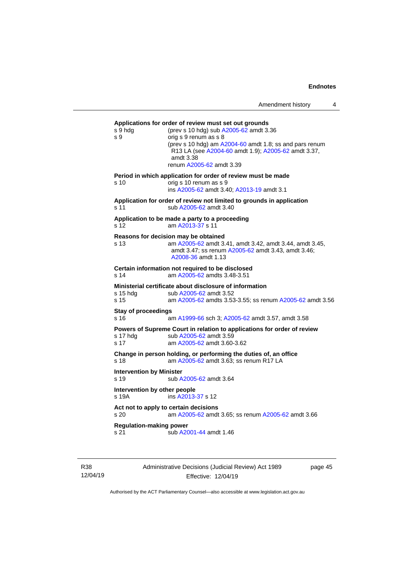**Applications for order of review must set out grounds** s 9 hdg (prev s 10 hdg) sub [A2005-62](http://www.legislation.act.gov.au/a/2005-62) amdt 3.36 s 9 orig s 9 renum as s 8 (prev s 10 hdg) am [A2004-60](http://www.legislation.act.gov.au/a/2004-60) amdt 1.8; ss and pars renum R13 LA (se[e A2004-60](http://www.legislation.act.gov.au/a/2004-60) amdt 1.9); [A2005-62](http://www.legislation.act.gov.au/a/2005-62) amdt 3.37, amdt 3.38 renum [A2005-62](http://www.legislation.act.gov.au/a/2005-62) amdt 3.39 **Period in which application for order of review must be made** s 10 orig s 10 renum as s 9 ins [A2005-62](http://www.legislation.act.gov.au/a/2005-62) amdt 3.40[; A2013-19](http://www.legislation.act.gov.au/a/2013-19) amdt 3.1 **Application for order of review not limited to grounds in application** s 11 sub [A2005-62](http://www.legislation.act.gov.au/a/2005-62) amdt 3.40 **Application to be made a party to a proceeding** s 12 am [A2013-37](http://www.legislation.act.gov.au/a/2013-37) s 11 **Reasons for decision may be obtained** s 13 am [A2005-62](http://www.legislation.act.gov.au/a/2005-62) amdt 3.41, amdt 3.42, amdt 3.44, amdt 3.45, amdt 3.47; ss renum [A2005-62](http://www.legislation.act.gov.au/a/2005-62) amdt 3.43, amdt 3.46; [A2008-36](http://www.legislation.act.gov.au/a/2008-36) amdt 1.13 **Certain information not required to be disclosed** s 14 am [A2005-62](http://www.legislation.act.gov.au/a/2005-62) amdts 3.48-3.51 **Ministerial certificate about disclosure of information** s 15 hdg sub [A2005-62](http://www.legislation.act.gov.au/a/2005-62) amdt 3.52 s 15 am [A2005-62](http://www.legislation.act.gov.au/a/2005-62) amdts 3.53-3.55; ss renum [A2005-62](http://www.legislation.act.gov.au/a/2005-62) amdt 3.56 **Stay of proceedings** s 16 am [A1999-66](http://www.legislation.act.gov.au/a/1999-66) sch 3; [A2005-62](http://www.legislation.act.gov.au/a/2005-62) amdt 3.57, amdt 3.58 **Powers of Supreme Court in relation to applications for order of review** s 17 hdg sub [A2005-62](http://www.legislation.act.gov.au/a/2005-62) amdt 3.59 s 17 am [A2005-62](http://www.legislation.act.gov.au/a/2005-62) amdt 3.60-3.62 **Change in person holding, or performing the duties of, an office** s 18 **am [A2005-62](http://www.legislation.act.gov.au/a/2005-62)** amdt 3.63; ss renum R17 LA **Intervention by Minister** s 19 sub [A2005-62](http://www.legislation.act.gov.au/a/2005-62) amdt 3.64 **Intervention by other people** s 19A ins [A2013-37](http://www.legislation.act.gov.au/a/2013-37) s 12 **Act not to apply to certain decisions** s 20 am [A2005-62](http://www.legislation.act.gov.au/a/2005-62) amdt 3.65; ss renum [A2005-62](http://www.legislation.act.gov.au/a/2005-62) amdt 3.66 **Regulation-making power** s 21 sub [A2001-44](http://www.legislation.act.gov.au/a/2001-44) amdt 1.46

R38 12/04/19 Administrative Decisions (Judicial Review) Act 1989 Effective: 12/04/19

page 45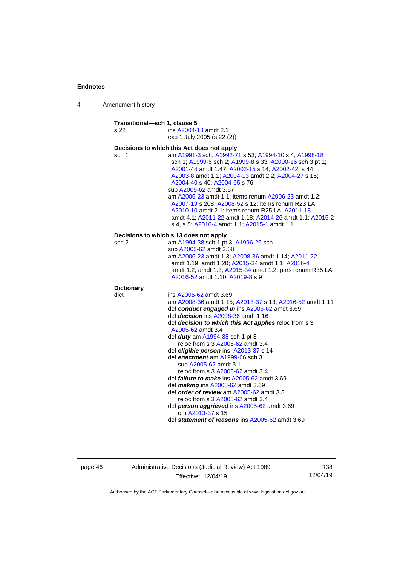4 Amendment history

**Transitional—sch 1, clause 5** s 22 ins [A2004-13](http://www.legislation.act.gov.au/a/2004-13) amdt 2.1 exp 1 July 2005 (s 22 (2)) **Decisions to which this Act does not apply** sch 1 am [A1991-3](http://www.legislation.act.gov.au/a/1991-3) sch[; A1992-71](http://www.legislation.act.gov.au/a/1992-71) s 53; [A1994-10](http://www.legislation.act.gov.au/a/1994-10) s 4[; A1998-18](http://www.legislation.act.gov.au/a/1998-18) sch 1[; A1999-5](http://www.legislation.act.gov.au/a/1999-5) sch 2[; A1999-8](http://www.legislation.act.gov.au/a/1999-8) s 33; [A2000-16](http://www.legislation.act.gov.au/a/2000-16) sch 3 pt 1; [A2001-44](http://www.legislation.act.gov.au/a/2001-44) amdt 1.47[; A2002-15](http://www.legislation.act.gov.au/a/2002-15) s 14; [A2002-42,](http://www.legislation.act.gov.au/a/2002-42) s 44; [A2003-8](http://www.legislation.act.gov.au/a/2003-8) amdt 1.1[; A2004-13](http://www.legislation.act.gov.au/a/2004-13) amdt 2.2; [A2004-27](http://www.legislation.act.gov.au/a/2004-27) s 15; [A2004-40](http://www.legislation.act.gov.au/a/2004-40) s 40[; A2004-65](http://www.legislation.act.gov.au/a/2004-65) s 76 sub [A2005-62](http://www.legislation.act.gov.au/a/2005-62) amdt 3.67 am [A2006-23](http://www.legislation.act.gov.au/a/2006-23) amdt 1.1; items renu[m A2006-23](http://www.legislation.act.gov.au/a/2006-23) amdt 1.2; [A2007-19](http://www.legislation.act.gov.au/a/2007-19) s 208[; A2008-52](http://www.legislation.act.gov.au/a/2008-52) s 12; items renum R23 LA; [A2010-10](http://www.legislation.act.gov.au/a/2010-10) amdt 2.1; items renum R25 LA[; A2011-18](http://www.legislation.act.gov.au/a/2011-18) amdt 4.1; [A2011-22](http://www.legislation.act.gov.au/a/2011-22) amdt 1.18[; A2014-26](http://www.legislation.act.gov.au/a/2014-26) amdt 1.1; [A2015-2](http://www.legislation.act.gov.au/a/2015-2) s 4, s 5; [A2016-4](http://www.legislation.act.gov.au/a/2016-4/default.asp) amdt 1.1[; A2015-1](http://www.legislation.act.gov.au/a/2015-1) amdt 1.1 **Decisions to which s 13 does not apply** sch 2 am [A1994-38](http://www.legislation.act.gov.au/a/1994-38) sch 1 pt 3[; A1996-26](http://www.legislation.act.gov.au/a/1996-26) sch sub [A2005-62](http://www.legislation.act.gov.au/a/2005-62) amdt 3.68 am [A2006-23](http://www.legislation.act.gov.au/a/2006-23) amdt 1.3[; A2008-36](http://www.legislation.act.gov.au/a/2008-36) amdt 1.14; [A2011-22](http://www.legislation.act.gov.au/a/2011-22) amdt 1.19, amdt 1.20; [A2015-34](http://www.legislation.act.gov.au/a/2015-34) amdt 1.1; [A2016-4](http://www.legislation.act.gov.au/a/2016-4/default.asp) amdt 1.2, amdt 1.3; [A2015-34](http://www.legislation.act.gov.au/a/2015-34) amdt 1.2; pars renum R35 LA; [A2016-52](http://www.legislation.act.gov.au/a/2016-52/default.asp) amdt 1.10[; A2019-8](http://www.legislation.act.gov.au/a/2019-8/default.asp) s 9 **Dictionary** dict ins [A2005-62](http://www.legislation.act.gov.au/a/2005-62) amdt 3.69 am [A2008-36](http://www.legislation.act.gov.au/a/2008-36) amdt 1.15[; A2013-37](http://www.legislation.act.gov.au/a/2013-37) s 13; [A2016-52](http://www.legislation.act.gov.au/a/2016-52/default.asp) amdt 1.11 def *conduct engaged in* in[s A2005-62](http://www.legislation.act.gov.au/a/2005-62) amdt 3.69 def *decision* ins [A2008-36](http://www.legislation.act.gov.au/a/2008-36) amdt 1.16 def *decision to which this Act applies* reloc from s 3 [A2005-62](http://www.legislation.act.gov.au/a/2005-62) amdt 3.4 def *duty* a[m A1994-38](http://www.legislation.act.gov.au/a/1994-38) sch 1 pt 3 reloc from s 3 [A2005-62](http://www.legislation.act.gov.au/a/2005-62) amdt 3.4 def *eligible person* ins [A2013-37](http://www.legislation.act.gov.au/a/2013-37) s 14 def *enactment* a[m A1999-66](http://www.legislation.act.gov.au/a/1999-66) sch 3 sub [A2005-62](http://www.legislation.act.gov.au/a/2005-62) amdt 3.1 reloc from s 3 [A2005-62](http://www.legislation.act.gov.au/a/2005-62) amdt 3.4 def *failure to make* ins [A2005-62](http://www.legislation.act.gov.au/a/2005-62) amdt 3.69 def *making* ins [A2005-62](http://www.legislation.act.gov.au/a/2005-62) amdt 3.69 def *order of review* am [A2005-62](http://www.legislation.act.gov.au/a/2005-62) amdt 3.3 reloc from s 3 [A2005-62](http://www.legislation.act.gov.au/a/2005-62) amdt 3.4 def *person aggrieved* in[s A2005-62](http://www.legislation.act.gov.au/a/2005-62) amdt 3.69 om [A2013-37](http://www.legislation.act.gov.au/a/2013-37) s 15 def *statement of reasons* ins [A2005-62](http://www.legislation.act.gov.au/a/2005-62) amdt 3.69

page 46 Administrative Decisions (Judicial Review) Act 1989 Effective: 12/04/19

R38 12/04/19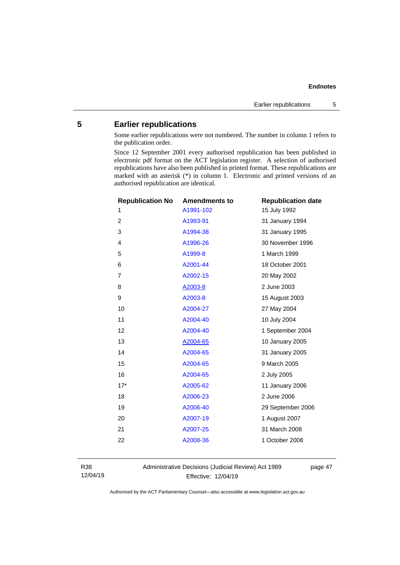# <span id="page-50-0"></span>**5 Earlier republications**

Some earlier republications were not numbered. The number in column 1 refers to the publication order.

Since 12 September 2001 every authorised republication has been published in electronic pdf format on the ACT legislation register. A selection of authorised republications have also been published in printed format. These republications are marked with an asterisk (\*) in column 1. Electronic and printed versions of an authorised republication are identical.

| <b>Republication No</b> | <b>Amendments to</b> | <b>Republication date</b> |
|-------------------------|----------------------|---------------------------|
| 1                       | A1991-102            | 15 July 1992              |
| $\overline{2}$          | A1993-91             | 31 January 1994           |
| 3                       | A1994-38             | 31 January 1995           |
| 4                       | A1996-26             | 30 November 1996          |
| 5                       | A1999-8              | 1 March 1999              |
| 6                       | A2001-44             | 18 October 2001           |
| $\overline{7}$          | A2002-15             | 20 May 2002               |
| 8                       | A2003-8              | 2 June 2003               |
| 9                       | A2003-8              | 15 August 2003            |
| 10                      | A2004-27             | 27 May 2004               |
| 11                      | A2004-40             | 10 July 2004              |
| 12                      | A2004-40             | 1 September 2004          |
| 13                      | A2004-65             | 10 January 2005           |
| 14                      | A2004-65             | 31 January 2005           |
| 15                      | A2004-65             | 9 March 2005              |
| 16                      | A2004-65             | 2 July 2005               |
| $17*$                   | A2005-62             | 11 January 2006           |
| 18                      | A2006-23             | 2 June 2006               |
| 19                      | A2006-40             | 29 September 2006         |
| 20                      | A2007-19             | 1 August 2007             |
| 21                      | A2007-25             | 31 March 2008             |
| 22                      | A2008-36             | 1 October 2008            |
|                         |                      |                           |

R38 12/04/19 Administrative Decisions (Judicial Review) Act 1989 Effective: 12/04/19

page 47